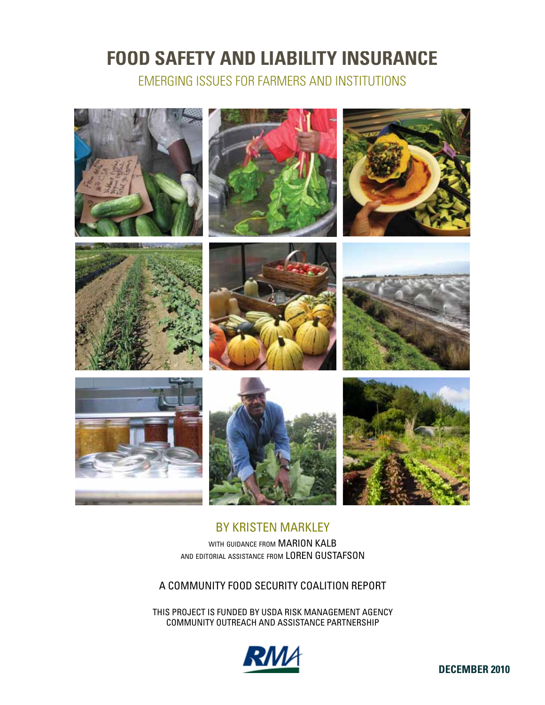# **FOOD SAFETY AND LIABILITY INSURANCE**

EMERGING ISSUES FOR FARMERS AND INSTITUTIONS



















# BY KRISTEN MARKLEY

WITH GUIDANCE FROM MARION KALB AND EDITORIAL ASSISTANCE FROM LOREN GUSTAFSON

A COMMUNITY FOOD SECURITY COALITION REPORT

THIS PROJECT IS FUNDED BY USDA RISK MANAGEMENT AGENCY COMMUNITY OUTREACH AND ASSISTANCE PARTNERSHIP



**DECEMBER 2010**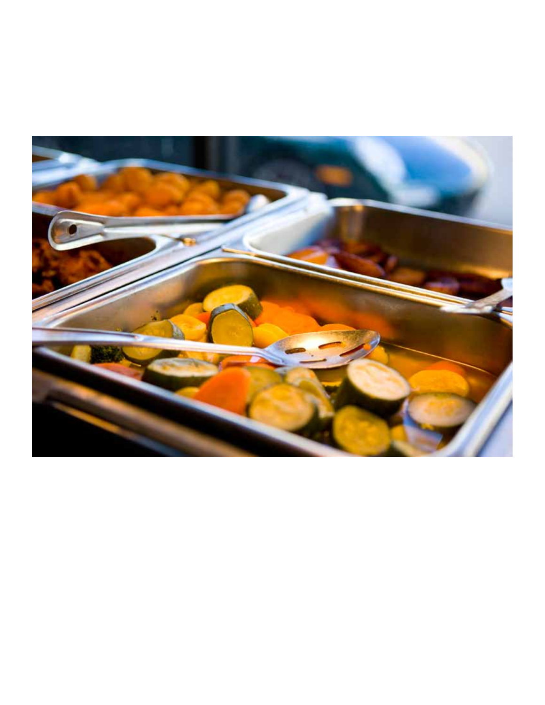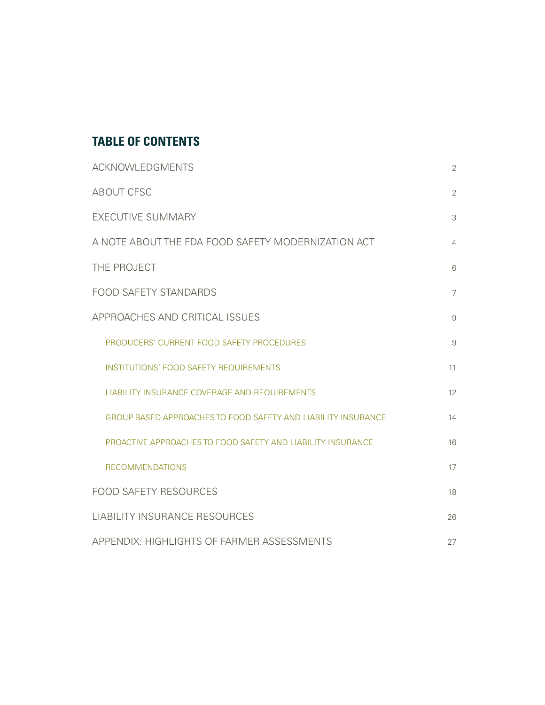# **TABLE OF CONTENTS**

| ACKNOWLEDGMENTS                                               | 2              |
|---------------------------------------------------------------|----------------|
| <b>ABOUT CFSC</b>                                             | $\overline{2}$ |
| <b>EXECUTIVE SUMMARY</b>                                      | 3              |
| A NOTE ABOUT THE FDA FOOD SAFETY MODERNIZATION ACT            | $\overline{4}$ |
| THE PROJECT                                                   | 6              |
| <b>FOOD SAFETY STANDARDS</b>                                  | $\overline{7}$ |
| APPROACHES AND CRITICAL ISSUES                                | $\mathcal{G}$  |
| PRODUCERS' CURRENT FOOD SAFETY PROCEDURES                     | 9              |
| <b>INSTITUTIONS' FOOD SAFETY REQUIREMENTS</b>                 | 11             |
| LIABILITY INSURANCE COVERAGE AND REQUIREMENTS                 | 12             |
| GROUP-BASED APPROACHES TO FOOD SAFETY AND LIABILITY INSURANCE | 14             |
| PROACTIVE APPROACHES TO FOOD SAFETY AND LIABILITY INSURANCE   | 16             |
| <b>RECOMMENDATIONS</b>                                        | 17             |
| <b>FOOD SAFETY RESOURCES</b>                                  | 18             |
| <b>LIABILITY INSURANCE RESOURCES</b>                          | 26             |
| APPENDIX: HIGHLIGHTS OF FARMER ASSESSMENTS                    | 27             |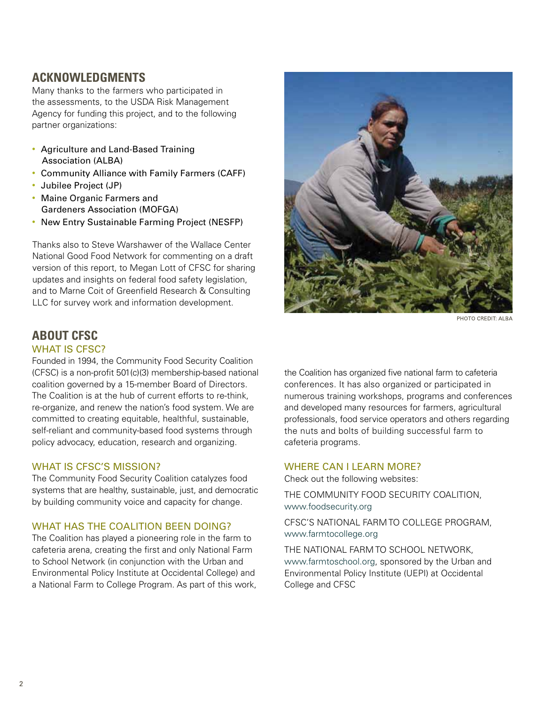## **ACKNOWLEDGMENTS**

Many thanks to the farmers who participated in the assessments, to the USDA Risk Management Agency for funding this project, and to the following partner organizations:

- Agriculture and Land-Based Training Association (ALBA)
- Community Alliance with Family Farmers (CAFF)
- Jubilee Project (JP)
- Maine Organic Farmers and Gardeners Association (MOFGA)
- New Entry Sustainable Farming Project (NESFP)

Thanks also to Steve Warshawer of the Wallace Center National Good Food Network for commenting on a draft version of this report, to Megan Lott of CFSC for sharing updates and insights on federal food safety legislation, and to Marne Coit of Greenfield Research & Consulting LLC for survey work and information development.



PHOTO CREDIT: ALBA

## **ABOUT CFSC**

#### WHAT IS CFSC?

Founded in 1994, the Community Food Security Coalition (CFSC) is a non-profit 501(c)(3) membership-based national coalition governed by a 15-member Board of Directors. The Coalition is at the hub of current efforts to re-think, re-organize, and renew the nation's food system. We are committed to creating equitable, healthful, sustainable, self-reliant and community-based food systems through policy advocacy, education, research and organizing.

#### WHAT IS CFSC'S MISSION?

The Community Food Security Coalition catalyzes food systems that are healthy, sustainable, just, and democratic by building community voice and capacity for change.

#### WHAT HAS THE COALITION BEEN DOING?

The Coalition has played a pioneering role in the farm to cafeteria arena, creating the first and only National Farm to School Network (in conjunction with the Urban and Environmental Policy Institute at Occidental College) and a National Farm to College Program. As part of this work,

the Coalition has organized five national farm to cafeteria conferences. It has also organized or participated in numerous training workshops, programs and conferences and developed many resources for farmers, agricultural professionals, food service operators and others regarding the nuts and bolts of building successful farm to cafeteria programs.

#### WHERE CAN I LEARN MORE?

Check out the following websites:

THE COMMUNITY FOOD SECURITY COALITION, www.foodsecurity.org

CFSC'S NATIONAL FARM TO COLLEGE PROGRAM, www.farmtocollege.org

THE NATIONAL FARM TO SCHOOL NETWORK, www.farmtoschool.org, sponsored by the Urban and Environmental Policy Institute (UEPI) at Occidental College and CFSC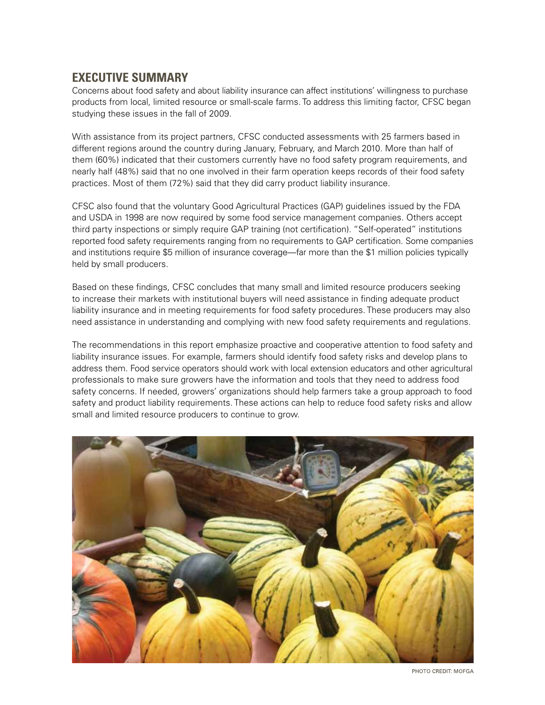## **EXECUTIVE SUMMARY**

Concerns about food safety and about liability insurance can affect institutions' willingness to purchase products from local, limited resource or small-scale farms. To address this limiting factor, CFSC began studying these issues in the fall of 2009.

With assistance from its project partners, CFSC conducted assessments with 25 farmers based in different regions around the country during January, February, and March 2010. More than half of them (60%) indicated that their customers currently have no food safety program requirements, and nearly half (48%) said that no one involved in their farm operation keeps records of their food safety practices. Most of them (72%) said that they did carry product liability insurance.

CFSC also found that the voluntary Good Agricultural Practices (GAP) guidelines issued by the FDA and USDA in 1998 are now required by some food service management companies. Others accept third party inspections or simply require GAP training (not certification). "Self-operated" institutions reported food safety requirements ranging from no requirements to GAP certification. Some companies and institutions require \$5 million of insurance coverage—far more than the \$1 million policies typically held by small producers.

Based on these findings, CFSC concludes that many small and limited resource producers seeking to increase their markets with institutional buyers will need assistance in finding adequate product liability insurance and in meeting requirements for food safety procedures. These producers may also need assistance in understanding and complying with new food safety requirements and regulations.

The recommendations in this report emphasize proactive and cooperative attention to food safety and liability insurance issues. For example, farmers should identify food safety risks and develop plans to address them. Food service operators should work with local extension educators and other agricultural professionals to make sure growers have the information and tools that they need to address food safety concerns. If needed, growers' organizations should help farmers take a group approach to food safety and product liability requirements. These actions can help to reduce food safety risks and allow small and limited resource producers to continue to grow.



PHOTO CREDIT: MOEGA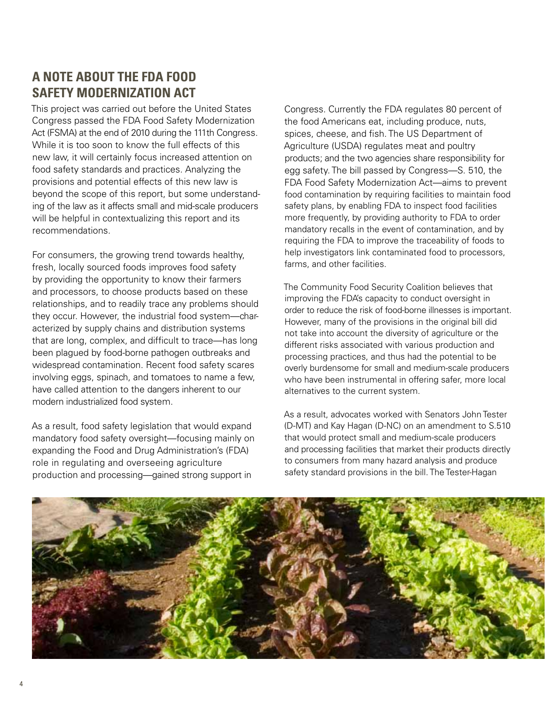# **A NOTE ABOUT THE FDA FOOD SAFETY MODERNIZATION ACT**

This project was carried out before the United States Congress passed the FDA Food Safety Modernization Act (FSMA) at the end of 2010 during the 111th Congress. While it is too soon to know the full effects of this new law, it will certainly focus increased attention on food safety standards and practices. Analyzing the provisions and potential effects of this new law is beyond the scope of this report, but some understanding of the law as it affects small and mid-scale producers will be helpful in contextualizing this report and its recommendations.

For consumers, the growing trend towards healthy, fresh, locally sourced foods improves food safety by providing the opportunity to know their farmers and processors, to choose products based on these relationships, and to readily trace any problems should they occur. However, the industrial food system—characterized by supply chains and distribution systems that are long, complex, and difficult to trace—has long been plagued by food-borne pathogen outbreaks and widespread contamination. Recent food safety scares involving eggs, spinach, and tomatoes to name a few, have called attention to the dangers inherent to our modern industrialized food system.

As a result, food safety legislation that would expand mandatory food safety oversight—focusing mainly on expanding the Food and Drug Administration's (FDA) role in regulating and overseeing agriculture production and processing—gained strong support in

Congress. Currently the FDA regulates 80 percent of the food Americans eat, including produce, nuts, spices, cheese, and fish. The US Department of Agriculture (USDA) regulates meat and poultry products; and the two agencies share responsibility for egg safety. The bill passed by Congress—S. 510, the FDA Food Safety Modernization Act—aims to prevent food contamination by requiring facilities to maintain food safety plans, by enabling FDA to inspect food facilities more frequently, by providing authority to FDA to order mandatory recalls in the event of contamination, and by requiring the FDA to improve the traceability of foods to help investigators link contaminated food to processors, farms, and other facilities.

The Community Food Security Coalition believes that improving the FDA's capacity to conduct oversight in order to reduce the risk of food-borne illnesses is important. However, many of the provisions in the original bill did not take into account the diversity of agriculture or the different risks associated with various production and processing practices, and thus had the potential to be overly burdensome for small and medium-scale producers who have been instrumental in offering safer, more local alternatives to the current system.

As a result, advocates worked with Senators John Tester (D-MT) and Kay Hagan (D-NC) on an amendment to S.510 that would protect small and medium-scale producers and processing facilities that market their products directly to consumers from many hazard analysis and produce safety standard provisions in the bill. The Tester-Hagan

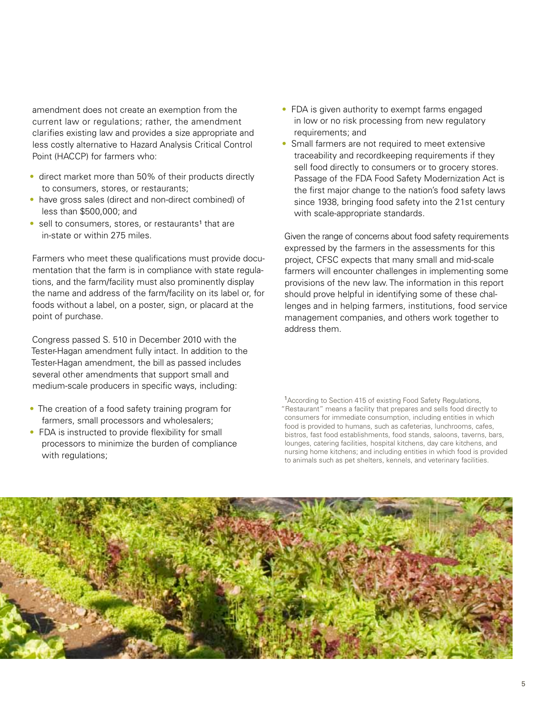amendment does not create an exemption from the current law or regulations; rather, the amendment clarifies existing law and provides a size appropriate and less costly alternative to Hazard Analysis Critical Control Point (HACCP) for farmers who:

- direct market more than 50% of their products directly to consumers, stores, or restaurants;
- have gross sales (direct and non-direct combined) of less than \$500,000; and
- sell to consumers, stores, or restaurants<sup>1</sup> that are in-state or within 275 miles.

Farmers who meet these qualifications must provide documentation that the farm is in compliance with state regulations, and the farm/facility must also prominently display the name and address of the farm/facility on its label or, for foods without a label, on a poster, sign, or placard at the point of purchase.

Congress passed S. 510 in December 2010 with the Tester-Hagan amendment fully intact. In addition to the Tester-Hagan amendment, the bill as passed includes several other amendments that support small and medium-scale producers in specific ways, including:

- The creation of a food safety training program for farmers, small processors and wholesalers;
- FDA is instructed to provide flexibility for small processors to minimize the burden of compliance with regulations;
- FDA is given authority to exempt farms engaged in low or no risk processing from new regulatory requirements; and
- Small farmers are not required to meet extensive traceability and recordkeeping requirements if they sell food directly to consumers or to grocery stores. Passage of the FDA Food Safety Modernization Act is the first major change to the nation's food safety laws since 1938, bringing food safety into the 21st century with scale-appropriate standards.

Given the range of concerns about food safety requirements expressed by the farmers in the assessments for this project, CFSC expects that many small and mid-scale farmers will encounter challenges in implementing some provisions of the new law. The information in this report should prove helpful in identifying some of these challenges and in helping farmers, institutions, food service management companies, and others work together to address them.

<sup>1</sup> According to Section 415 of existing Food Safety Regulations, "Restaurant" means a facility that prepares and sells food directly to consumers for immediate consumption, including entities in which food is provided to humans, such as cafeterias, lunchrooms, cafes, bistros, fast food establishments, food stands, saloons, taverns, bars, lounges, catering facilities, hospital kitchens, day care kitchens, and nursing home kitchens; and including entities in which food is provided to animals such as pet shelters, kennels, and veterinary facilities.

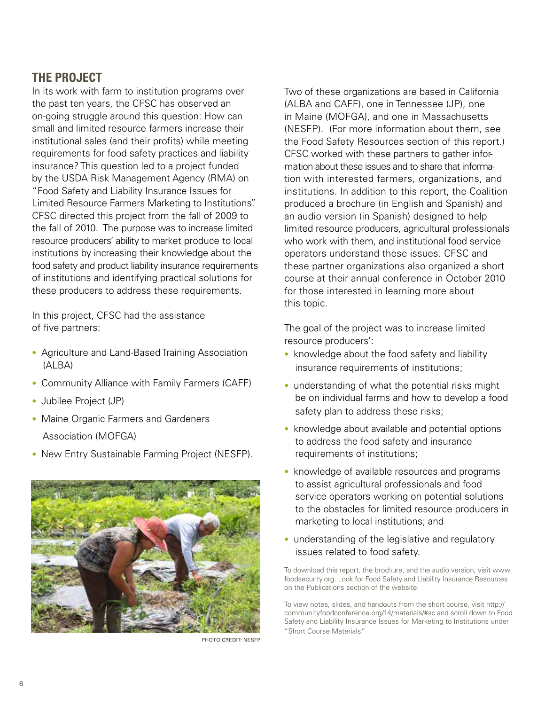## **THE PROJECT**

In its work with farm to institution programs over the past ten years, the CFSC has observed an on-going struggle around this question: How can small and limited resource farmers increase their institutional sales (and their profits) while meeting requirements for food safety practices and liability insurance? This question led to a project funded by the USDA Risk Management Agency (RMA) on "Food Safety and Liability Insurance Issues for Limited Resource Farmers Marketing to Institutions." CFSC directed this project from the fall of 2009 to the fall of 2010. The purpose was to increase limited resource producers' ability to market produce to local institutions by increasing their knowledge about the food safety and product liability insurance requirements of institutions and identifying practical solutions for these producers to address these requirements.

In this project, CFSC had the assistance of five partners:

- Agriculture and Land-Based Training Association (ALBA)
- Community Alliance with Family Farmers (CAFF)
- Jubilee Project (JP)
- Maine Organic Farmers and Gardeners Association (MOFGA)
- New Entry Sustainable Farming Project (NESFP).



PHOTO CREDIT: NESFP

Two of these organizations are based in California (ALBA and CAFF), one in Tennessee (JP), one in Maine (MOFGA), and one in Massachusetts (NESFP). (For more information about them, see the Food Safety Resources section of this report.) CFSC worked with these partners to gather information about these issues and to share that information with interested farmers, organizations, and institutions. In addition to this report, the Coalition produced a brochure (in English and Spanish) and an audio version (in Spanish) designed to help limited resource producers, agricultural professionals who work with them, and institutional food service operators understand these issues. CFSC and these partner organizations also organized a short course at their annual conference in October 2010 for those interested in learning more about this topic.

The goal of the project was to increase limited resource producers':

- knowledge about the food safety and liability insurance requirements of institutions;
- understanding of what the potential risks might be on individual farms and how to develop a food safety plan to address these risks;
- knowledge about available and potential options to address the food safety and insurance requirements of institutions;
- knowledge of available resources and programs to assist agricultural professionals and food service operators working on potential solutions to the obstacles for limited resource producers in marketing to local institutions; and
- understanding of the legislative and regulatory issues related to food safety.

To download this report, the brochure, and the audio version, visit www. foodsecurity.org. Look for Food Safety and Liability Insurance Resources on the Publications section of the website.

To view notes, slides, and handouts from the short course, visit http:// communityfoodconference.org/14/materials/#sc and scroll down to Food Safety and Liability Insurance Issues for Marketing to Institutions under "Short Course Materials."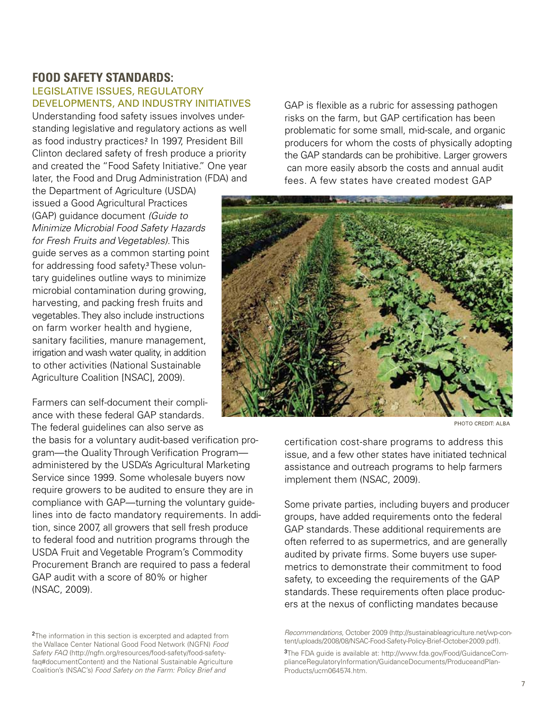#### **FOOD SAFETY STANDARDS:** LEGISLATIVE ISSUES, REGULATORY DEVELOPMENTS, AND INDUSTRY INITIATIVES

Understanding food safety issues involves understanding legislative and regulatory actions as well as food industry practices? In 1997, President Bill Clinton declared safety of fresh produce a priority and created the "Food Safety Initiative." One year later, the Food and Drug Administration (FDA) and

the Department of Agriculture (USDA) issued a Good Agricultural Practices (GAP) guidance document (Guide to Minimize Microbial Food Safety Hazards for Fresh Fruits and Vegetables). This guide serves as a common starting point for addressing food safety.<sup>3</sup> These voluntary guidelines outline ways to minimize microbial contamination during growing, harvesting, and packing fresh fruits and vegetables. They also include instructions on farm worker health and hygiene, sanitary facilities, manure management, irrigation and wash water quality, in addition to other activities (National Sustainable Agriculture Coalition [NSAC], 2009).

Farmers can self-document their compliance with these federal GAP standards. The federal guidelines can also serve as

the basis for a voluntary audit-based verification program—the Quality Through Verification Program administered by the USDA's Agricultural Marketing Service since 1999. Some wholesale buyers now require growers to be audited to ensure they are in compliance with GAP—turning the voluntary guidelines into de facto mandatory requirements. In addition, since 2007, all growers that sell fresh produce to federal food and nutrition programs through the USDA Fruit and Vegetable Program's Commodity Procurement Branch are required to pass a federal GAP audit with a score of 80% or higher (NSAC, 2009).

<sup>2</sup>The information in this section is excerpted and adapted from the Wallace Center National Good Food Network (NGFN) Food Safety FAQ (http://ngfn.org/resources/food-safety/food-safetyfaq#documentContent) and the National Sustainable Agriculture Coalition's (NSAC's) Food Safety on the Farm: Policy Brief and

GAP is flexible as a rubric for assessing pathogen risks on the farm, but GAP certification has been problematic for some small, mid-scale, and organic producers for whom the costs of physically adopting the GAP standards can be prohibitive. Larger growers can more easily absorb the costs and annual audit fees. A few states have created modest GAP



PHOTO CREDIT: ALBA

certification cost-share programs to address this issue, and a few other states have initiated technical assistance and outreach programs to help farmers implement them (NSAC, 2009).

Some private parties, including buyers and producer groups, have added requirements onto the federal GAP standards. These additional requirements are often referred to as supermetrics, and are generally audited by private firms. Some buyers use supermetrics to demonstrate their commitment to food safety, to exceeding the requirements of the GAP standards. These requirements often place producers at the nexus of conflicting mandates because

Recommendations, October 2009 (http://sustainableagriculture.net/wp-content/uploads/2008/08/NSAC-Food-Safety-Policy-Brief-October-2009.pdf).

<sup>&</sup>lt;sup>3</sup>The FDA quide is available at: http://www.fda.gov/Food/GuidanceComplianceRegulatoryInformation/GuidanceDocuments/ProduceandPlan-Products/ucm064574.htm.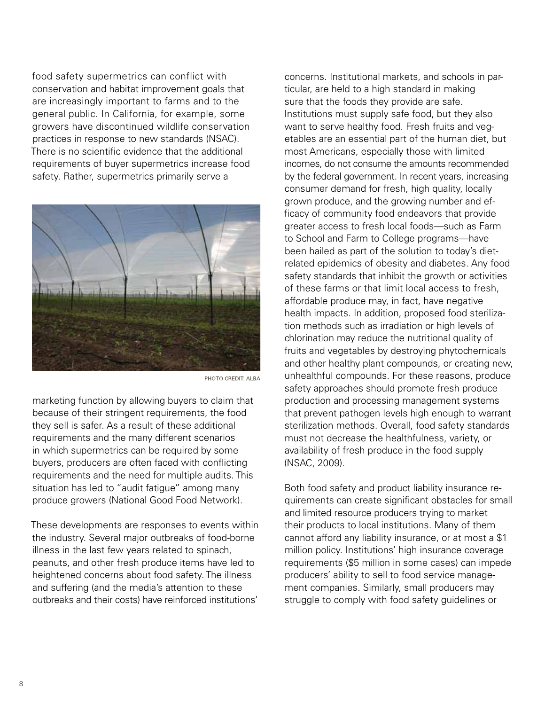food safety supermetrics can conflict with conservation and habitat improvement goals that are increasingly important to farms and to the general public. In California, for example, some growers have discontinued wildlife conservation practices in response to new standards (NSAC). There is no scientific evidence that the additional requirements of buyer supermetrics increase food safety. Rather, supermetrics primarily serve a



PHOTO CREDIT: ALBA

marketing function by allowing buyers to claim that because of their stringent requirements, the food they sell is safer. As a result of these additional requirements and the many different scenarios in which supermetrics can be required by some buyers, producers are often faced with conflicting requirements and the need for multiple audits. This situation has led to "audit fatigue" among many produce growers (National Good Food Network).

These developments are responses to events within the industry. Several major outbreaks of food-borne illness in the last few years related to spinach, peanuts, and other fresh produce items have led to heightened concerns about food safety. The illness and suffering (and the media's attention to these outbreaks and their costs) have reinforced institutions'

concerns. Institutional markets, and schools in particular, are held to a high standard in making sure that the foods they provide are safe. Institutions must supply safe food, but they also want to serve healthy food. Fresh fruits and vegetables are an essential part of the human diet, but most Americans, especially those with limited incomes, do not consume the amounts recommended by the federal government. In recent years, increasing consumer demand for fresh, high quality, locally grown produce, and the growing number and efficacy of community food endeavors that provide greater access to fresh local foods—such as Farm to School and Farm to College programs—have been hailed as part of the solution to today's dietrelated epidemics of obesity and diabetes. Any food safety standards that inhibit the growth or activities of these farms or that limit local access to fresh, affordable produce may, in fact, have negative health impacts. In addition, proposed food sterilization methods such as irradiation or high levels of chlorination may reduce the nutritional quality of fruits and vegetables by destroying phytochemicals and other healthy plant compounds, or creating new, unhealthful compounds. For these reasons, produce safety approaches should promote fresh produce production and processing management systems that prevent pathogen levels high enough to warrant sterilization methods. Overall, food safety standards must not decrease the healthfulness, variety, or availability of fresh produce in the food supply (NSAC, 2009).

Both food safety and product liability insurance requirements can create significant obstacles for small and limited resource producers trying to market their products to local institutions. Many of them cannot afford any liability insurance, or at most a \$1 million policy. Institutions' high insurance coverage requirements (\$5 million in some cases) can impede producers' ability to sell to food service management companies. Similarly, small producers may struggle to comply with food safety guidelines or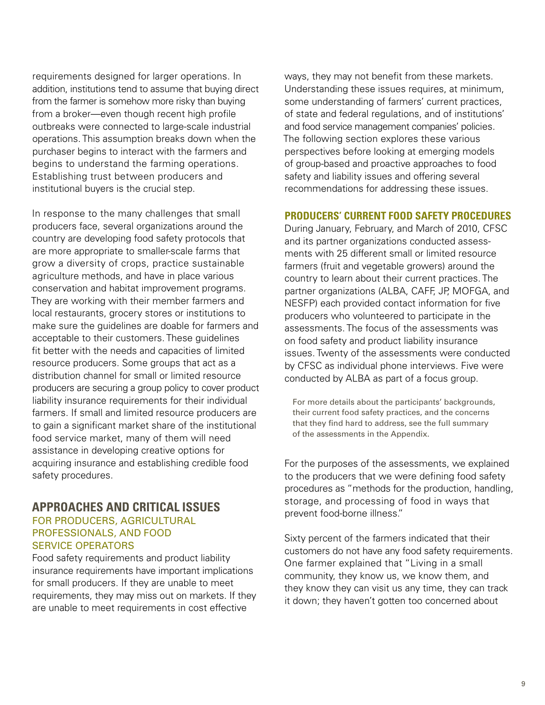requirements designed for larger operations. In addition, institutions tend to assume that buying direct from the farmer is somehow more risky than buying from a broker—even though recent high profile outbreaks were connected to large-scale industrial operations. This assumption breaks down when the purchaser begins to interact with the farmers and begins to understand the farming operations. Establishing trust between producers and institutional buyers is the crucial step.

In response to the many challenges that small producers face, several organizations around the country are developing food safety protocols that are more appropriate to smaller-scale farms that grow a diversity of crops, practice sustainable agriculture methods, and have in place various conservation and habitat improvement programs. They are working with their member farmers and local restaurants, grocery stores or institutions to make sure the guidelines are doable for farmers and acceptable to their customers. These guidelines fit better with the needs and capacities of limited resource producers. Some groups that act as a distribution channel for small or limited resource producers are securing a group policy to cover product liability insurance requirements for their individual farmers. If small and limited resource producers are to gain a significant market share of the institutional food service market, many of them will need assistance in developing creative options for acquiring insurance and establishing credible food safety procedures.

## **APPROACHES AND CRITICAL ISSUES**

#### FOR PRODUCERS, AGRICULTURAL PROFESSIONALS, AND FOOD SERVICE OPERATORS

Food safety requirements and product liability insurance requirements have important implications for small producers. If they are unable to meet requirements, they may miss out on markets. If they are unable to meet requirements in cost effective

ways, they may not benefit from these markets. Understanding these issues requires, at minimum, some understanding of farmers' current practices, of state and federal regulations, and of institutions' and food service management companies' policies. The following section explores these various perspectives before looking at emerging models of group-based and proactive approaches to food safety and liability issues and offering several recommendations for addressing these issues.

#### **PRODUCERS' CURRENT FOOD SAFETY PROCEDURES**

During January, February, and March of 2010, CFSC and its partner organizations conducted assessments with 25 different small or limited resource farmers (fruit and vegetable growers) around the country to learn about their current practices. The partner organizations (ALBA, CAFF, JP, MOFGA, and NESFP) each provided contact information for five producers who volunteered to participate in the assessments. The focus of the assessments was on food safety and product liability insurance issues. Twenty of the assessments were conducted by CFSC as individual phone interviews. Five were conducted by ALBA as part of a focus group.

For more details about the participants' backgrounds, their current food safety practices, and the concerns that they find hard to address, see the full summary of the assessments in the Appendix.

For the purposes of the assessments, we explained to the producers that we were defining food safety procedures as "methods for the production, handling, storage, and processing of food in ways that prevent food-borne illness."

Sixty percent of the farmers indicated that their customers do not have any food safety requirements. One farmer explained that "Living in a small community, they know us, we know them, and they know they can visit us any time, they can track it down; they haven't gotten too concerned about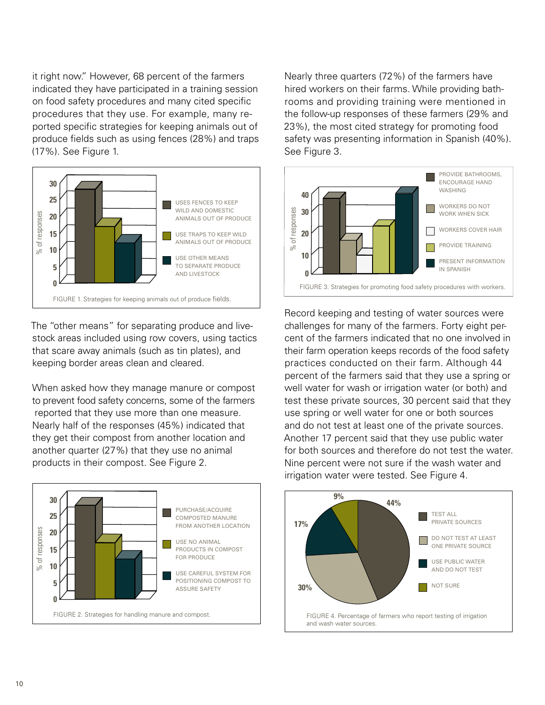it right now." However, 68 percent of the farmers indicated they have participated in a training session on food safety procedures and many cited specific procedures that they use. For example, many reported specific strategies for keeping animals out of produce fields such as using fences (28%) and traps (17%). See Figure 1.



The "other means" for separating produce and livestock areas included using row covers, using tactics that scare away animals (such as tin plates), and keeping border areas clean and cleared.

When asked how they manage manure or compost to prevent food safety concerns, some of the farmers reported that they use more than one measure. Nearly half of the responses (45%) indicated that they get their compost from another location and another quarter (27%) that they use no animal products in their compost. See Figure 2.



Nearly three quarters (72%) of the farmers have hired workers on their farms. While providing bathrooms and providing training were mentioned in the follow-up responses of these farmers (29% and 23%), the most cited strategy for promoting food safety was presenting information in Spanish (40%). See Figure 3.



Record keeping and testing of water sources were challenges for many of the farmers. Forty eight percent of the farmers indicated that no one involved in their farm operation keeps records of the food safety practices conducted on their farm. Although 44 percent of the farmers said that they use a spring or well water for wash or irrigation water (or both) and test these private sources, 30 percent said that they use spring or well water for one or both sources and do not test at least one of the private sources. Another 17 percent said that they use public water for both sources and therefore do not test the water. Nine percent were not sure if the wash water and irrigation water were tested. See Figure 4.

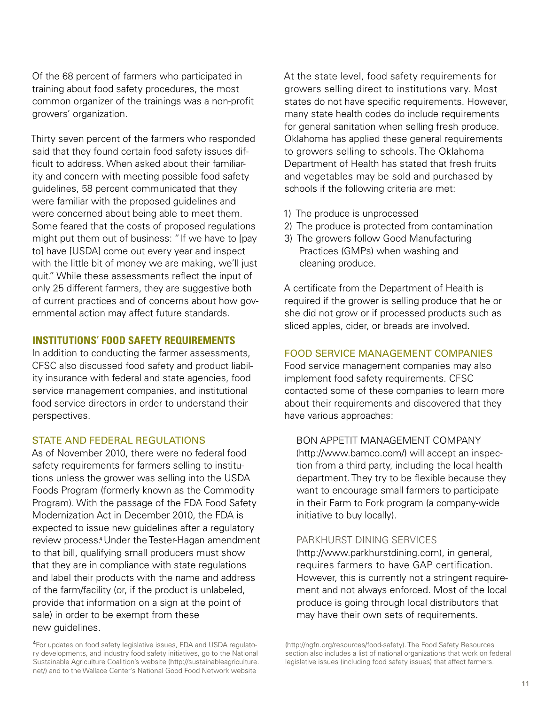Of the 68 percent of farmers who participated in training about food safety procedures, the most common organizer of the trainings was a non-profit growers' organization.

Thirty seven percent of the farmers who responded said that they found certain food safety issues difficult to address. When asked about their familiarity and concern with meeting possible food safety guidelines, 58 percent communicated that they were familiar with the proposed guidelines and were concerned about being able to meet them. Some feared that the costs of proposed regulations might put them out of business: "If we have to [pay to] have [USDA] come out every year and inspect with the little bit of money we are making, we'll just quit." While these assessments reflect the input of only 25 different farmers, they are suggestive both of current practices and of concerns about how governmental action may affect future standards.

#### **INSTITUTIONS' FOOD SAFETY REQUIREMENTS**

In addition to conducting the farmer assessments, CFSC also discussed food safety and product liability insurance with federal and state agencies, food service management companies, and institutional food service directors in order to understand their perspectives.

#### STATE AND FEDERAL REGULATIONS

As of November 2010, there were no federal food safety requirements for farmers selling to institutions unless the grower was selling into the USDA Foods Program (formerly known as the Commodity Program). With the passage of the FDA Food Safety Modernization Act in December 2010, the FDA is expected to issue new guidelines after a regulatory review process.<sup>4</sup> Under the Tester-Hagan amendment to that bill, qualifying small producers must show that they are in compliance with state regulations and label their products with the name and address of the farm/facility (or, if the product is unlabeled, provide that information on a sign at the point of sale) in order to be exempt from these new guidelines.

<sup>4</sup>For updates on food safety legislative issues, FDA and USDA regulatory developments, and industry food safety initiatives, go to the National Sustainable Agriculture Coalition's website (http://sustainableagriculture. net/) and to the Wallace Center's National Good Food Network website

At the state level, food safety requirements for growers selling direct to institutions vary. Most states do not have specific requirements. However, many state health codes do include requirements for general sanitation when selling fresh produce. Oklahoma has applied these general requirements to growers selling to schools. The Oklahoma Department of Health has stated that fresh fruits and vegetables may be sold and purchased by schools if the following criteria are met:

- 1) The produce is unprocessed
- 2) The produce is protected from contamination
- 3) The growers follow Good Manufacturing Practices (GMPs) when washing and cleaning produce.

A certificate from the Department of Health is required if the grower is selling produce that he or she did not grow or if processed products such as sliced apples, cider, or breads are involved.

#### FOOD SERVICE MANAGEMENT COMPANIES

Food service management companies may also implement food safety requirements. CFSC contacted some of these companies to learn more about their requirements and discovered that they have various approaches:

#### BON APPETIT MANAGEMENT COMPANY

(http://www.bamco.com/) will accept an inspection from a third party, including the local health department. They try to be flexible because they want to encourage small farmers to participate in their Farm to Fork program (a company-wide initiative to buy locally).

#### PARKHURST DINING SERVICES

(http://www.parkhurstdining.com), in general, requires farmers to have GAP certification. However, this is currently not a stringent requirement and not always enforced. Most of the local produce is going through local distributors that may have their own sets of requirements.

(http://ngfn.org/resources/food-safety). The Food Safety Resources section also includes a list of national organizations that work on federal legislative issues (including food safety issues) that affect farmers.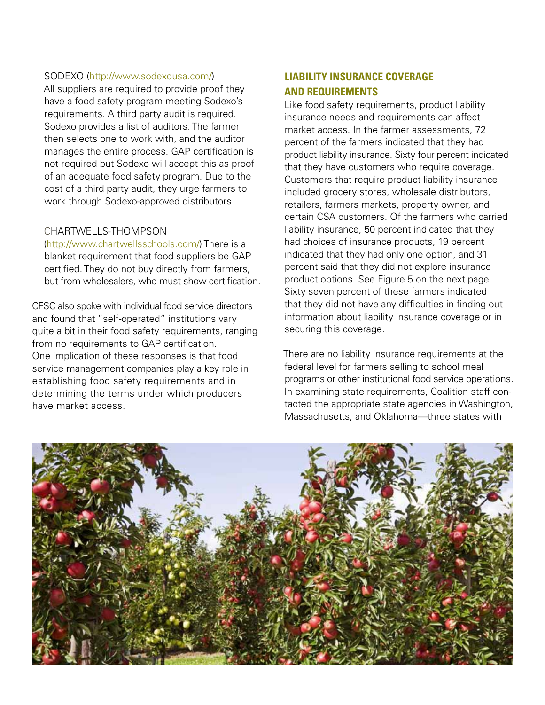#### SODEXO (http://www.sodexousa.com/)

All suppliers are required to provide proof they have a food safety program meeting Sodexo's requirements. A third party audit is required. Sodexo provides a list of auditors. The farmer then selects one to work with, and the auditor manages the entire process. GAP certification is not required but Sodexo will accept this as proof of an adequate food safety program. Due to the cost of a third party audit, they urge farmers to work through Sodexo-approved distributors.

#### CHARTWELLS-THOMPSON

(http://www.chartwellsschools.com/) There is a blanket requirement that food suppliers be GAP certified. They do not buy directly from farmers, but from wholesalers, who must show certification.

CFSC also spoke with individual food service directors and found that "self-operated" institutions vary quite a bit in their food safety requirements, ranging from no requirements to GAP certification. One implication of these responses is that food service management companies play a key role in establishing food safety requirements and in determining the terms under which producers have market access.

## **LIABILITY INSURANCE COVERAGE AND REQUIREMENTS**

Like food safety requirements, product liability insurance needs and requirements can affect market access. In the farmer assessments, 72 percent of the farmers indicated that they had product liability insurance. Sixty four percent indicated that they have customers who require coverage. Customers that require product liability insurance included grocery stores, wholesale distributors, retailers, farmers markets, property owner, and certain CSA customers. Of the farmers who carried liability insurance, 50 percent indicated that they had choices of insurance products, 19 percent indicated that they had only one option, and 31 percent said that they did not explore insurance product options. See Figure 5 on the next page. Sixty seven percent of these farmers indicated that they did not have any difficulties in finding out information about liability insurance coverage or in securing this coverage.

There are no liability insurance requirements at the federal level for farmers selling to school meal programs or other institutional food service operations. In examining state requirements, Coalition staff contacted the appropriate state agencies in Washington, Massachusetts, and Oklahoma—three states with

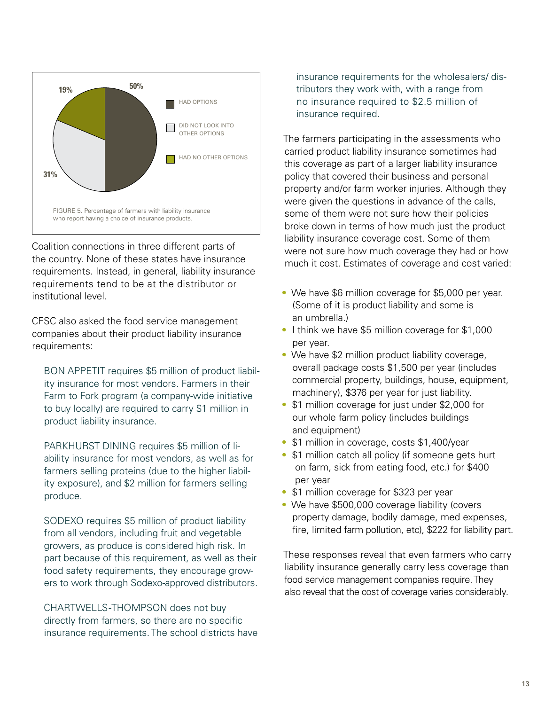

Coalition connections in three different parts of the country. None of these states have insurance requirements. Instead, in general, liability insurance requirements tend to be at the distributor or institutional level.

CFSC also asked the food service management companies about their product liability insurance requirements:

BON APPETIT requires \$5 million of product liability insurance for most vendors. Farmers in their Farm to Fork program (a company-wide initiative to buy locally) are required to carry \$1 million in product liability insurance.

PARKHURST DINING requires \$5 million of liability insurance for most vendors, as well as for farmers selling proteins (due to the higher liability exposure), and \$2 million for farmers selling produce.

SODEXO requires \$5 million of product liability from all vendors, including fruit and vegetable growers, as produce is considered high risk. In part because of this requirement, as well as their food safety requirements, they encourage growers to work through Sodexo-approved distributors.

CHARTWELLS-THOMPSON does not buy directly from farmers, so there are no specific insurance requirements. The school districts have insurance requirements for the wholesalers/ distributors they work with, with a range from no insurance required to \$2.5 million of insurance required.

The farmers participating in the assessments who carried product liability insurance sometimes had this coverage as part of a larger liability insurance policy that covered their business and personal property and/or farm worker injuries. Although they were given the questions in advance of the calls, some of them were not sure how their policies broke down in terms of how much just the product liability insurance coverage cost. Some of them were not sure how much coverage they had or how much it cost. Estimates of coverage and cost varied:

- We have \$6 million coverage for \$5,000 per year. (Some of it is product liability and some is an umbrella.)
- I think we have \$5 million coverage for \$1,000 per year.
- We have \$2 million product liability coverage, overall package costs \$1,500 per year (includes commercial property, buildings, house, equipment, machinery), \$376 per year for just liability.
- \$1 million coverage for just under \$2,000 for our whole farm policy (includes buildings and equipment)
- \$1 million in coverage, costs \$1,400/year
- \$1 million catch all policy (if someone gets hurt on farm, sick from eating food, etc.) for \$400 per year
- \$1 million coverage for \$323 per year
- We have \$500,000 coverage liability (covers property damage, bodily damage, med expenses, fire, limited farm pollution, etc), \$222 for liability part.

These responses reveal that even farmers who carry liability insurance generally carry less coverage than food service management companies require. They also reveal that the cost of coverage varies considerably.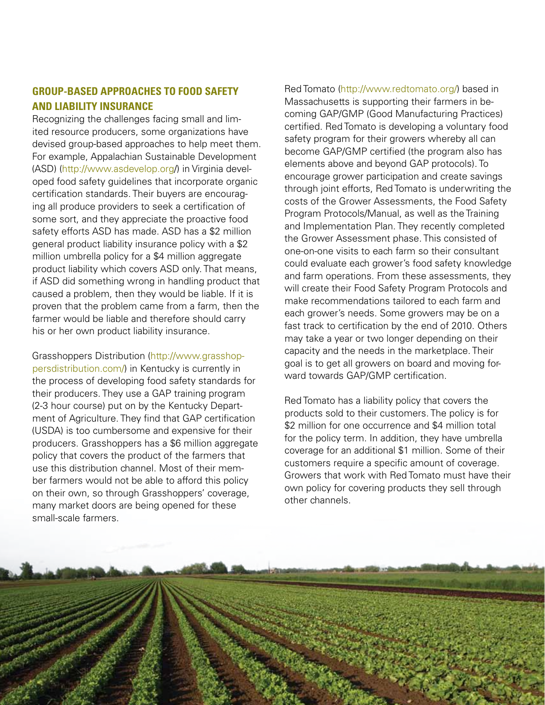## **GROUP-BASED APPROACHES TO FOOD SAFETY AND LIABILITY INSURANCE**

Recognizing the challenges facing small and limited resource producers, some organizations have devised group-based approaches to help meet them. For example, Appalachian Sustainable Development (ASD) (http://www.asdevelop.org/) in Virginia developed food safety guidelines that incorporate organic certification standards. Their buyers are encouraging all produce providers to seek a certification of some sort, and they appreciate the proactive food safety efforts ASD has made. ASD has a \$2 million general product liability insurance policy with a \$2 million umbrella policy for a \$4 million aggregate product liability which covers ASD only. That means, if ASD did something wrong in handling product that caused a problem, then they would be liable. If it is proven that the problem came from a farm, then the farmer would be liable and therefore should carry his or her own product liability insurance.

Grasshoppers Distribution (http://www.grasshoppersdistribution.com/) in Kentucky is currently in the process of developing food safety standards for their producers. They use a GAP training program (2-3 hour course) put on by the Kentucky Department of Agriculture. They find that GAP certification (USDA) is too cumbersome and expensive for their producers. Grasshoppers has a \$6 million aggregate policy that covers the product of the farmers that use this distribution channel. Most of their member farmers would not be able to afford this policy on their own, so through Grasshoppers' coverage, many market doors are being opened for these small-scale farmers.

Red Tomato (http://www.redtomato.org/) based in Massachusetts is supporting their farmers in becoming GAP/GMP (Good Manufacturing Practices) certified. Red Tomato is developing a voluntary food safety program for their growers whereby all can become GAP/GMP certified (the program also has elements above and beyond GAP protocols). To encourage grower participation and create savings through joint efforts, Red Tomato is underwriting the costs of the Grower Assessments, the Food Safety Program Protocols/Manual, as well as the Training and Implementation Plan. They recently completed the Grower Assessment phase. This consisted of one-on-one visits to each farm so their consultant could evaluate each grower's food safety knowledge and farm operations. From these assessments, they will create their Food Safety Program Protocols and make recommendations tailored to each farm and each grower's needs. Some growers may be on a fast track to certification by the end of 2010. Others may take a year or two longer depending on their capacity and the needs in the marketplace. Their goal is to get all growers on board and moving forward towards GAP/GMP certification.

Red Tomato has a liability policy that covers the products sold to their customers. The policy is for \$2 million for one occurrence and \$4 million total for the policy term. In addition, they have umbrella coverage for an additional \$1 million. Some of their customers require a specific amount of coverage. Growers that work with Red Tomato must have their own policy for covering products they sell through other channels.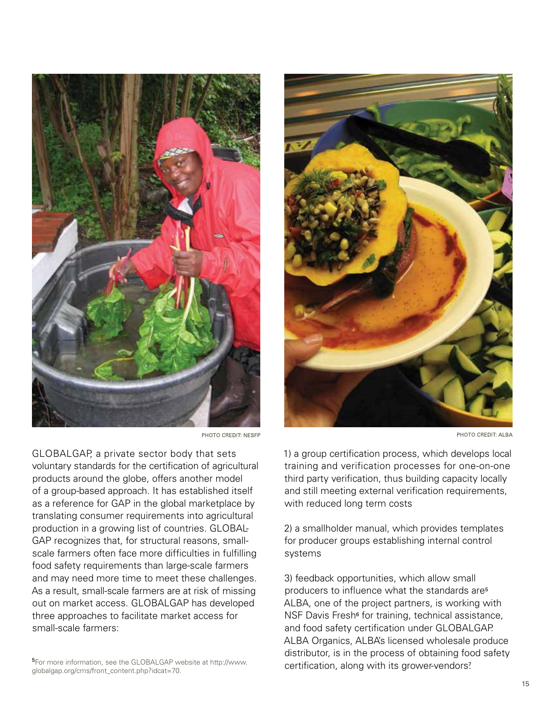

PHOTO CREDIT: NESFP

GLOBALGAP, a private sector body that sets voluntary standards for the certification of agricultural products around the globe, offers another model of a group-based approach. It has established itself as a reference for GAP in the global marketplace by translating consumer requirements into agricultural production in a growing list of countries. GLOBAL-GAP recognizes that, for structural reasons, smallscale farmers often face more difficulties in fulfilling food safety requirements than large-scale farmers and may need more time to meet these challenges. As a result, small-scale farmers are at risk of missing out on market access. GLOBALGAP has developed three approaches to facilitate market access for small-scale farmers:

<sup>5</sup>For more information, see the GLOBALGAP website at http://www. globalgap.org/cms/front\_content.php?idcat=70.



PHOTO CREDIT: ALBA

1) a group certification process, which develops local training and verification processes for one-on-one third party verification, thus building capacity locally and still meeting external verification requirements, with reduced long term costs

2) a smallholder manual, which provides templates for producer groups establishing internal control systems

3) feedback opportunities, which allow small producers to influence what the standards are<sup>5</sup> ALBA, one of the project partners, is working with NSF Davis Fresh<sup>6</sup> for training, technical assistance, and food safety certification under GLOBALGAP. ALBA Organics, ALBA's licensed wholesale produce distributor, is in the process of obtaining food safety certification, along with its grower-vendors?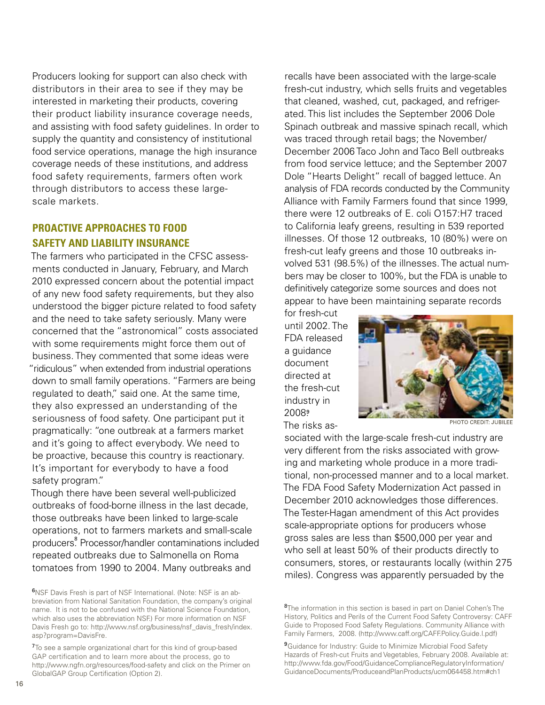Producers looking for support can also check with distributors in their area to see if they may be interested in marketing their products, covering their product liability insurance coverage needs, and assisting with food safety guidelines. In order to supply the quantity and consistency of institutional food service operations, manage the high insurance coverage needs of these institutions, and address food safety requirements, farmers often work through distributors to access these largescale markets.

## **PROACTIVE APPROACHES TO FOOD SAFETY AND LIABILITY INSURANCE**

The farmers who participated in the CFSC assessments conducted in January, February, and March 2010 expressed concern about the potential impact of any new food safety requirements, but they also understood the bigger picture related to food safety and the need to take safety seriously. Many were concerned that the "astronomical" costs associated with some requirements might force them out of business. They commented that some ideas were "ridiculous" when extended from industrial operations down to small family operations. "Farmers are being regulated to death," said one. At the same time, they also expressed an understanding of the seriousness of food safety. One participant put it pragmatically: "one outbreak at a farmers market and it's going to affect everybody. We need to be proactive, because this country is reactionary. It's important for everybody to have a food safety program."

Though there have been several well-publicized outbreaks of food-borne illness in the last decade, those outbreaks have been linked to large-scale operations, not to farmers markets and small-scale producers<sup>8</sup> Processor/handler contaminations included repeated outbreaks due to Salmonella on Roma tomatoes from 1990 to 2004. Many outbreaks and

<sup>7</sup>To see a sample organizational chart for this kind of group-based GAP certification and to learn more about the process, go to http://www.ngfn.org/resources/food-safety and click on the Primer on GlobalGAP Group Certification (Option 2).

recalls have been associated with the large-scale fresh-cut industry, which sells fruits and vegetables that cleaned, washed, cut, packaged, and refrigerated. This list includes the September 2006 Dole Spinach outbreak and massive spinach recall, which was traced through retail bags; the November/ December 2006 Taco John and Taco Bell outbreaks from food service lettuce; and the September 2007 Dole "Hearts Delight" recall of bagged lettuce. An analysis of FDA records conducted by the Community Alliance with Family Farmers found that since 1999, there were 12 outbreaks of E. coli O157:H7 traced to California leafy greens, resulting in 539 reported illnesses. Of those 12 outbreaks, 10 (80%) were on fresh-cut leafy greens and those 10 outbreaks involved 531 (98.5%) of the illnesses. The actual numbers may be closer to 100%, but the FDA is unable to definitively categorize some sources and does not appear to have been maintaining separate records

for fresh-cut until 2002. The FDA released a guidance document directed at the fresh-cut industry in 2008? The risks as-



PHOTO CREDIT: JURILER

sociated with the large-scale fresh-cut industry are very different from the risks associated with growing and marketing whole produce in a more traditional, non-processed manner and to a local market. The FDA Food Safety Modernization Act passed in December 2010 acknowledges those differences. The Tester-Hagan amendment of this Act provides scale-appropriate options for producers whose gross sales are less than \$500,000 per year and who sell at least 50% of their products directly to consumers, stores, or restaurants locally (within 275 miles). Congress was apparently persuaded by the

<sup>6</sup>NSF Davis Fresh is part of NSF International. (Note: NSF is an abbreviation from National Sanitation Foundation, the company's original name. It is not to be confused with the National Science Foundation, which also uses the abbreviation NSF.) For more information on NSF Davis Fresh go to: http://www.nsf.org/business/nsf\_davis\_fresh/index. asp?program=DavisFre.

<sup>&</sup>lt;sup>8</sup>The information in this section is based in part on Daniel Cohen's The History, Politics and Perils of the Current Food Safety Controversy: CAFF Guide to Proposed Food Safety Regulations. Community Alliance with Family Farmers, 2008. (http://www.caff.org/CAFF.Policy.Guide.l.pdf)

<sup>&</sup>lt;sup>9</sup>Guidance for Industry: Guide to Minimize Microbial Food Safety Hazards of Fresh-cut Fruits and Vegetables, February 2008. Available at: http://www.fda.gov/Food/GuidanceComplianceRegulatoryInformation/ GuidanceDocuments/ProduceandPlanProducts/ucm064458.htm#ch1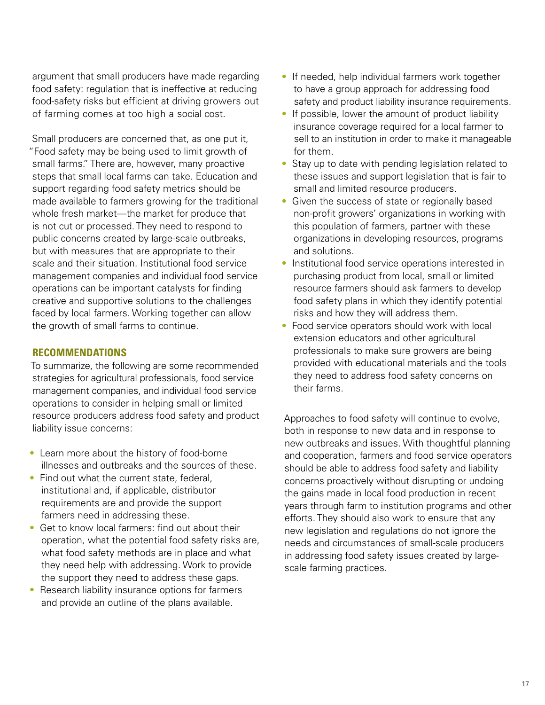argument that small producers have made regarding food safety: regulation that is ineffective at reducing food-safety risks but efficient at driving growers out of farming comes at too high a social cost.

Small producers are concerned that, as one put it, "Food safety may be being used to limit growth of small farms." There are, however, many proactive steps that small local farms can take. Education and support regarding food safety metrics should be made available to farmers growing for the traditional whole fresh market—the market for produce that is not cut or processed. They need to respond to public concerns created by large-scale outbreaks, but with measures that are appropriate to their scale and their situation. Institutional food service management companies and individual food service operations can be important catalysts for finding creative and supportive solutions to the challenges faced by local farmers. Working together can allow the growth of small farms to continue.

#### **RECOMMENDATIONS**

To summarize, the following are some recommended strategies for agricultural professionals, food service management companies, and individual food service operations to consider in helping small or limited resource producers address food safety and product liability issue concerns:

- Learn more about the history of food-borne illnesses and outbreaks and the sources of these.
- Find out what the current state, federal, institutional and, if applicable, distributor requirements are and provide the support farmers need in addressing these.
- Get to know local farmers: find out about their operation, what the potential food safety risks are, what food safety methods are in place and what they need help with addressing. Work to provide the support they need to address these gaps.
- Research liability insurance options for farmers and provide an outline of the plans available.
- If needed, help individual farmers work together to have a group approach for addressing food safety and product liability insurance requirements.
- If possible, lower the amount of product liability insurance coverage required for a local farmer to sell to an institution in order to make it manageable for them.
- Stay up to date with pending legislation related to these issues and support legislation that is fair to small and limited resource producers.
- Given the success of state or regionally based non-profit growers' organizations in working with this population of farmers, partner with these organizations in developing resources, programs and solutions.
- **•** Institutional food service operations interested in purchasing product from local, small or limited resource farmers should ask farmers to develop food safety plans in which they identify potential risks and how they will address them.
- Food service operators should work with local extension educators and other agricultural professionals to make sure growers are being provided with educational materials and the tools they need to address food safety concerns on their farms.

Approaches to food safety will continue to evolve, both in response to new data and in response to new outbreaks and issues. With thoughtful planning and cooperation, farmers and food service operators should be able to address food safety and liability concerns proactively without disrupting or undoing the gains made in local food production in recent years through farm to institution programs and other efforts. They should also work to ensure that any new legislation and regulations do not ignore the needs and circumstances of small-scale producers in addressing food safety issues created by largescale farming practices.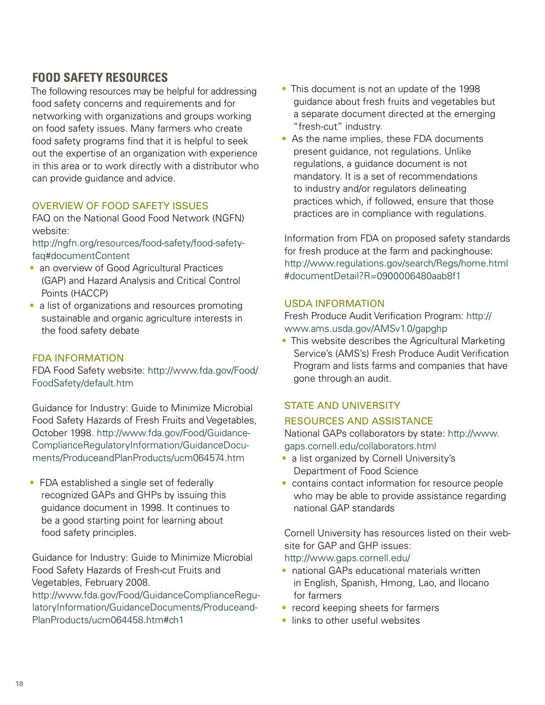# **FOOD SAFETY RESOURCES**

The following resources may be helpful for addressing food safety concerns and requirements and for networking with organizations and groups working on food safety issues. Many farmers who create food safety programs find that it is helpful to seek out the expertise of an organization with experience in this area or to work directly with a distributor who can provide guidance and advice.

#### OVERVIEW OF FOOD SAFETY ISSUES

FAQ on the National Good Food Network (NGFN) website:

http://ngfn.org/resources/food-safety/food-safetyfaq#documentContent

- an overview of Good Agricultural Practices (GAP) and Hazard Analysis and Critical Control Points (HACCP)
- a list of organizations and resources promoting sustainable and organic agriculture interests in the food safety debate

#### FDA INFORMATION

FDA Food Safety website: http://www.fda.gov/Food/ FoodSafety/default.htm

Guidance for Industry: Guide to Minimize Microbial Food Safety Hazards of Fresh Fruits and Vegetables, October 1998. http://www.fda.gov/Food/Guidance-ComplianceRegulatoryInformation/GuidanceDocuments/ProduceandPlanProducts/ucm064574.htm

• FDA established a single set of federally recognized GAPs and GHPs by issuing this guidance document in 1998. It continues to be a good starting point for learning about food safety principles.

Guidance for Industry: Guide to Minimize Microbial Food Safety Hazards of Fresh-cut Fruits and Vegetables, February 2008.

http://www.fda.gov/Food/GuidanceComplianceRegulatoryInformation/GuidanceDocuments/Produceand-PlanProducts/ucm064458.htm#ch1

- This document is not an update of the 1998 guidance about fresh fruits and vegetables but a separate document directed at the emerging "fresh-cut" industry.
- As the name implies, these FDA documents present guidance, not regulations. Unlike regulations, a guidance document is not mandatory. It is a set of recommendations to industry and/or regulators delineating practices which, if followed, ensure that those practices are in compliance with regulations.

Information from FDA on proposed safety standards for fresh produce at the farm and packinghouse: http://www.regulations.gov/search/Regs/home.html #documentDetail?R=0900006480aab8f1

#### USDA INFORMATION

Fresh Produce Audit Verification Program: http:// www.ams.usda.gov/AMSv1.0/gapghp

• This website describes the Agricultural Marketing Service's (AMS's) Fresh Produce Audit Verification Program and lists farms and companies that have gone through an audit.

#### STATE AND UNIVERSITY

#### RESOURCES AND ASSISTANCE

National GAPs collaborators by state: http://www. gaps.cornell.edu/collaborators.html

- a list organized by Cornell University's Department of Food Science
- contains contact information for resource people who may be able to provide assistance regarding national GAP standards

Cornell University has resources listed on their website for GAP and GHP issues:

http://www.gaps.cornell.edu/

- national GAPs educational materials written in English, Spanish, Hmong, Lao, and Ilocano for farmers
- $\bullet$  record keeping sheets for farmers
- links to other useful websites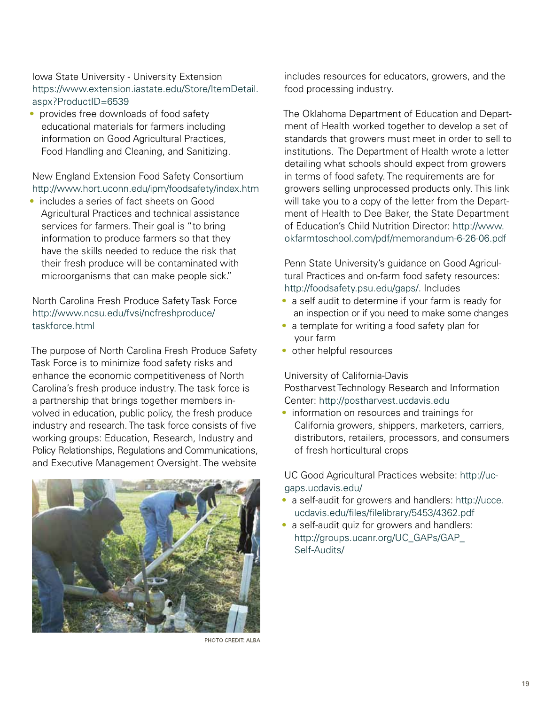#### Iowa State University - University Extension https://www.extension.iastate.edu/Store/ItemDetail. aspx?ProductID=6539

• provides free downloads of food safety educational materials for farmers including information on Good Agricultural Practices, Food Handling and Cleaning, and Sanitizing.

New England Extension Food Safety Consortium http://www.hort.uconn.edu/ipm/foodsafety/index.htm

• includes a series of fact sheets on Good Agricultural Practices and technical assistance services for farmers. Their goal is "to bring information to produce farmers so that they have the skills needed to reduce the risk that their fresh produce will be contaminated with microorganisms that can make people sick."

North Carolina Fresh Produce Safety Task Force http://www.ncsu.edu/fvsi/ncfreshproduce/ taskforce.html

The purpose of North Carolina Fresh Produce Safety Task Force is to minimize food safety risks and enhance the economic competitiveness of North Carolina's fresh produce industry. The task force is a partnership that brings together members involved in education, public policy, the fresh produce industry and research. The task force consists of five working groups: Education, Research, Industry and Policy Relationships, Regulations and Communications, and Executive Management Oversight. The website



PHOTO CREDIT: ALBA

includes resources for educators, growers, and the food processing industry.

The Oklahoma Department of Education and Department of Health worked together to develop a set of standards that growers must meet in order to sell to institutions. The Department of Health wrote a letter detailing what schools should expect from growers in terms of food safety. The requirements are for growers selling unprocessed products only. This link will take you to a copy of the letter from the Department of Health to Dee Baker, the State Department of Education's Child Nutrition Director: http://www. okfarmtoschool.com/pdf/memorandum-6-26-06.pdf

Penn State University's guidance on Good Agricultural Practices and on-farm food safety resources: http://foodsafety.psu.edu/gaps/. Includes

- a self audit to determine if your farm is ready for an inspection or if you need to make some changes
- $\bullet$  a template for writing a food safety plan for your farm
- other helpful resources

University of California-Davis

Postharvest Technology Research and Information Center: http://postharvest.ucdavis.edu

• information on resources and trainings for California growers, shippers, marketers, carriers, distributors, retailers, processors, and consumers of fresh horticultural crops

UC Good Agricultural Practices website: http://ucgaps.ucdavis.edu/

- a self-audit for growers and handlers: http://ucce. ucdavis.edu/files/filelibrary/5453/4362.pdf
- a self-audit quiz for growers and handlers: http://groups.ucanr.org/UC\_GAPs/GAP\_ Self-Audits/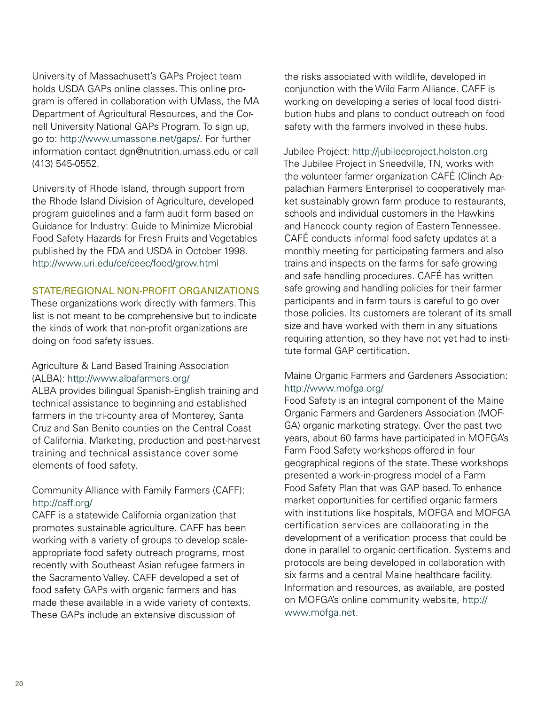University of Massachusett's GAPs Project team holds USDA GAPs online classes. This online program is offered in collaboration with UMass, the MA Department of Agricultural Resources, and the Cornell University National GAPs Program. To sign up, go to: http://www.umassone.net/gaps/. For further information contact dgn@nutrition.umass.edu or call (413) 545-0552.

University of Rhode Island, through support from the Rhode Island Division of Agriculture, developed program guidelines and a farm audit form based on Guidance for Industry: Guide to Minimize Microbial Food Safety Hazards for Fresh Fruits and Vegetables published by the FDA and USDA in October 1998. http://www.uri.edu/ce/ceec/food/grow.html

#### STATE/REGIONAL NON-PROFIT ORGANIZATIONS

These organizations work directly with farmers. This list is not meant to be comprehensive but to indicate the kinds of work that non-profit organizations are doing on food safety issues.

#### Agriculture & Land Based Training Association (ALBA): http://www.albafarmers.org/

ALBA provides bilingual Spanish-English training and technical assistance to beginning and established farmers in the tri-county area of Monterey, Santa Cruz and San Benito counties on the Central Coast of California. Marketing, production and post-harvest training and technical assistance cover some elements of food safety.

#### Community Alliance with Family Farmers (CAFF): http://caff.org/

CAFF is a statewide California organization that promotes sustainable agriculture. CAFF has been working with a variety of groups to develop scaleappropriate food safety outreach programs, most recently with Southeast Asian refugee farmers in the Sacramento Valley. CAFF developed a set of food safety GAPs with organic farmers and has made these available in a wide variety of contexts. These GAPs include an extensive discussion of

the risks associated with wildlife, developed in conjunction with the Wild Farm Alliance. CAFF is working on developing a series of local food distribution hubs and plans to conduct outreach on food safety with the farmers involved in these hubs.

#### Jubilee Project: http://jubileeproject.holston.org The Jubilee Project in Sneedville, TN, works with the volunteer farmer organization CAFÉ (Clinch Appalachian Farmers Enterprise) to cooperatively market sustainably grown farm produce to restaurants, schools and individual customers in the Hawkins and Hancock county region of Eastern Tennessee. CAFÉ conducts informal food safety updates at a monthly meeting for participating farmers and also trains and inspects on the farms for safe growing and safe handling procedures. CAFÉ has written safe growing and handling policies for their farmer participants and in farm tours is careful to go over those policies. Its customers are tolerant of its small size and have worked with them in any situations requiring attention, so they have not yet had to institute formal GAP certification.

#### Maine Organic Farmers and Gardeners Association: http://www.mofga.org/

Food Safety is an integral component of the Maine Organic Farmers and Gardeners Association (MOF-GA) organic marketing strategy. Over the past two years, about 60 farms have participated in MOFGA's Farm Food Safety workshops offered in four geographical regions of the state. These workshops presented a work-in-progress model of a Farm Food Safety Plan that was GAP based. To enhance market opportunities for certified organic farmers with institutions like hospitals, MOFGA and MOFGA certification services are collaborating in the development of a verification process that could be done in parallel to organic certification. Systems and protocols are being developed in collaboration with six farms and a central Maine healthcare facility. Information and resources, as available, are posted on MOFGA's online community website, http:// www.mofga.net.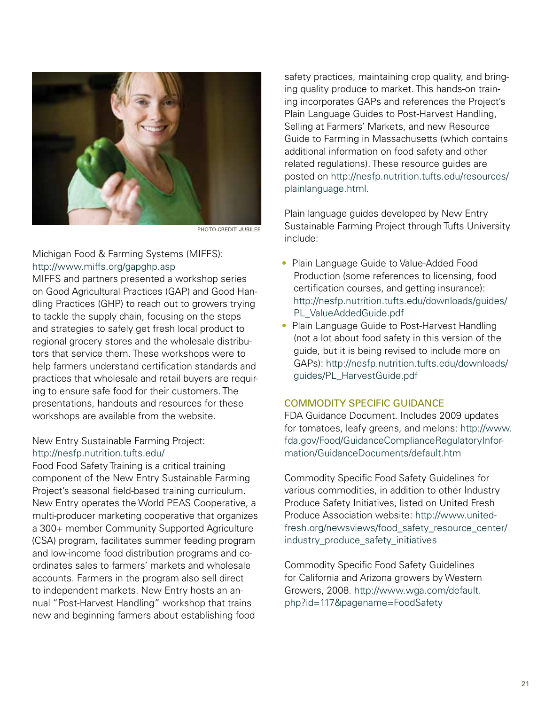

PHOTO CREDIT: JUBILEE

#### Michigan Food & Farming Systems (MIFFS): http://www.miffs.org/gapghp.asp

MIFFS and partners presented a workshop series on Good Agricultural Practices (GAP) and Good Handling Practices (GHP) to reach out to growers trying to tackle the supply chain, focusing on the steps and strategies to safely get fresh local product to regional grocery stores and the wholesale distributors that service them. These workshops were to help farmers understand certification standards and practices that wholesale and retail buyers are requiring to ensure safe food for their customers. The presentations, handouts and resources for these workshops are available from the website.

## New Entry Sustainable Farming Project: http://nesfp.nutrition.tufts.edu/

Food Food Safety Training is a critical training component of the New Entry Sustainable Farming Project's seasonal field-based training curriculum. New Entry operates the World PEAS Cooperative, a multi-producer marketing cooperative that organizes a 300+ member Community Supported Agriculture (CSA) program, facilitates summer feeding program and low-income food distribution programs and coordinates sales to farmers' markets and wholesale accounts. Farmers in the program also sell direct to independent markets. New Entry hosts an annual "Post-Harvest Handling" workshop that trains new and beginning farmers about establishing food

safety practices, maintaining crop quality, and bringing quality produce to market. This hands-on training incorporates GAPs and references the Project's Plain Language Guides to Post-Harvest Handling, Selling at Farmers' Markets, and new Resource Guide to Farming in Massachusetts (which contains additional information on food safety and other related regulations). These resource guides are posted on http://nesfp.nutrition.tufts.edu/resources/ plainlanguage.html.

Plain language guides developed by New Entry Sustainable Farming Project through Tufts University include:

- Plain Language Guide to Value-Added Food Production (some references to licensing, food certification courses, and getting insurance): http://nesfp.nutrition.tufts.edu/downloads/guides/ PL\_ValueAddedGuide.pdf
- Plain Language Guide to Post-Harvest Handling (not a lot about food safety in this version of the guide, but it is being revised to include more on GAPs): http://nesfp.nutrition.tufts.edu/downloads/ guides/PL\_HarvestGuide.pdf

#### COMMODITY SPECIFIC GUIDANCE

FDA Guidance Document. Includes 2009 updates for tomatoes, leafy greens, and melons: http://www. fda.gov/Food/GuidanceComplianceRegulatoryInformation/GuidanceDocuments/default.htm

Commodity Specific Food Safety Guidelines for various commodities, in addition to other Industry Produce Safety Initiatives, listed on United Fresh Produce Association website: http://www.unitedfresh.org/newsviews/food\_safety\_resource\_center/ industry produce safety initiatives

Commodity Specific Food Safety Guidelines for California and Arizona growers by Western Growers, 2008. http://www.wga.com/default. php?id=117&pagename=FoodSafety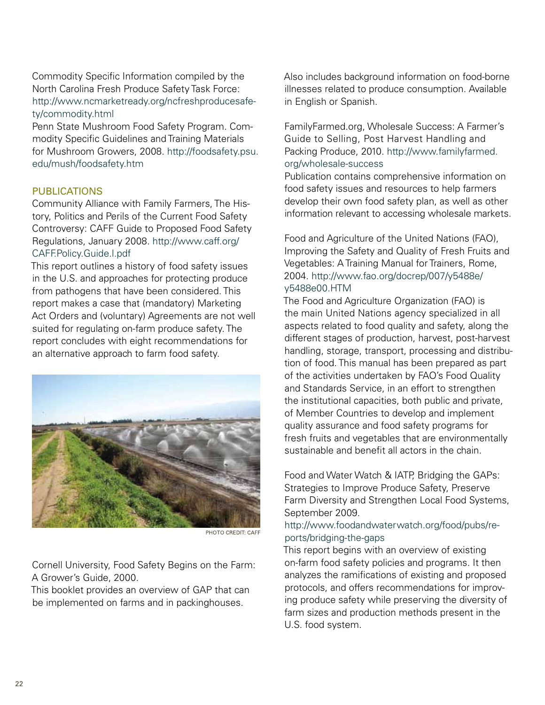Commodity Specific Information compiled by the North Carolina Fresh Produce Safety Task Force: http://www.ncmarketready.org/ncfreshproducesafety/commodity.html

Penn State Mushroom Food Safety Program. Commodity Specific Guidelines and Training Materials for Mushroom Growers, 2008. http://foodsafety.psu. edu/mush/foodsafety.htm

#### PUBLICATIONS

Community Alliance with Family Farmers, The History, Politics and Perils of the Current Food Safety Controversy: CAFF Guide to Proposed Food Safety Regulations, January 2008. http://www.caff.org/ CAFF.Policy.Guide.l.pdf

This report outlines a history of food safety issues in the U.S. and approaches for protecting produce from pathogens that have been considered. This report makes a case that (mandatory) Marketing Act Orders and (voluntary) Agreements are not well suited for regulating on-farm produce safety. The report concludes with eight recommendations for an alternative approach to farm food safety.



PHOTO CREDIT: CAFE

Cornell University, Food Safety Begins on the Farm: A Grower's Guide, 2000.

This booklet provides an overview of GAP that can be implemented on farms and in packinghouses.

Also includes background information on food-borne illnesses related to produce consumption. Available in English or Spanish.

FamilyFarmed.org, Wholesale Success: A Farmer's Guide to Selling, Post Harvest Handling and Packing Produce, 2010. http://www.familyfarmed. org/wholesale-success

Publication contains comprehensive information on food safety issues and resources to help farmers develop their own food safety plan, as well as other information relevant to accessing wholesale markets.

Food and Agriculture of the United Nations (FAO), Improving the Safety and Quality of Fresh Fruits and Vegetables: A Training Manual for Trainers, Rome, 2004. http://www.fao.org/docrep/007/y5488e/ y5488e00.HTM

The Food and Agriculture Organization (FAO) is the main United Nations agency specialized in all aspects related to food quality and safety, along the different stages of production, harvest, post-harvest handling, storage, transport, processing and distribution of food. This manual has been prepared as part of the activities undertaken by FAO's Food Quality and Standards Service, in an effort to strengthen the institutional capacities, both public and private, of Member Countries to develop and implement quality assurance and food safety programs for fresh fruits and vegetables that are environmentally sustainable and benefit all actors in the chain.

Food and Water Watch & IATP, Bridging the GAPs: Strategies to Improve Produce Safety, Preserve Farm Diversity and Strengthen Local Food Systems, September 2009.

#### http://www.foodandwaterwatch.org/food/pubs/reports/bridging-the-gaps

This report begins with an overview of existing on-farm food safety policies and programs. It then analyzes the ramifications of existing and proposed protocols, and offers recommendations for improving produce safety while preserving the diversity of farm sizes and production methods present in the U.S. food system.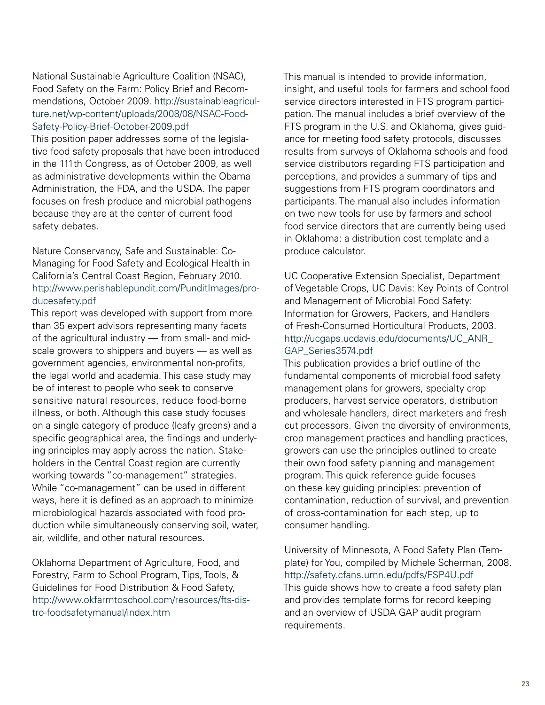National Sustainable Agriculture Coalition (NSAC), Food Safety on the Farm: Policy Brief and Recommendations, October 2009. http://sustainableagriculture.net/wp-content/uploads/2008/08/NSAC-Food-Safety-Policy-Brief-October-2009.pdf

This position paper addresses some of the legislative food safety proposals that have been introduced in the 111th Congress, as of October 2009, as well as administrative developments within the Obama Administration, the FDA, and the USDA. The paper focuses on fresh produce and microbial pathogens because they are at the center of current food safety debates.

Nature Conservancy, Safe and Sustainable: Co-Managing for Food Safety and Ecological Health in California's Central Coast Region, February 2010. http://www.perishablepundit.com/PunditImages/producesafety.pdf

This report was developed with support from more than 35 expert advisors representing many facets of the agricultural industry — from small- and midscale growers to shippers and buyers — as well as government agencies, environmental non-profits, the legal world and academia. This case study may be of interest to people who seek to conserve sensitive natural resources, reduce food-borne illness, or both. Although this case study focuses on a single category of produce (leafy greens) and a specific geographical area, the findings and underlying principles may apply across the nation. Stakeholders in the Central Coast region are currently working towards "co-management" strategies. While "co-management" can be used in different ways, here it is defined as an approach to minimize microbiological hazards associated with food production while simultaneously conserving soil, water, air, wildlife, and other natural resources.

Oklahoma Department of Agriculture, Food, and Forestry, Farm to School Program, Tips, Tools, & Guidelines for Food Distribution & Food Safety, http://www.okfarmtoschool.com/resources/fts-distro-foodsafetymanual/index.htm

This manual is intended to provide information, insight, and useful tools for farmers and school food service directors interested in FTS program participation. The manual includes a brief overview of the FTS program in the U.S. and Oklahoma, gives guidance for meeting food safety protocols, discusses results from surveys of Oklahoma schools and food service distributors regarding FTS participation and perceptions, and provides a summary of tips and suggestions from FTS program coordinators and participants. The manual also includes information on two new tools for use by farmers and school food service directors that are currently being used in Oklahoma: a distribution cost template and a produce calculator.

UC Cooperative Extension Specialist, Department of Vegetable Crops, UC Davis: Key Points of Control and Management of Microbial Food Safety: Information for Growers, Packers, and Handlers of Fresh-Consumed Horticultural Products, 2003. http://ucgaps.ucdavis.edu/documents/UC\_ANR\_ GAP\_Series3574.pdf

This publication provides a brief outline of the fundamental components of microbial food safety management plans for growers, specialty crop producers, harvest service operators, distribution and wholesale handlers, direct marketers and fresh cut processors. Given the diversity of environments, crop management practices and handling practices, growers can use the principles outlined to create their own food safety planning and management program. This quick reference guide focuses on these key guiding principles: prevention of contamination, reduction of survival, and prevention of cross-contamination for each step, up to consumer handling.

University of Minnesota, A Food Safety Plan (Template) for You, compiled by Michele Scherman, 2008. http://safety.cfans.umn.edu/pdfs/FSP4U.pdf This guide shows how to create a food safety plan and provides template forms for record keeping and an overview of USDA GAP audit program requirements.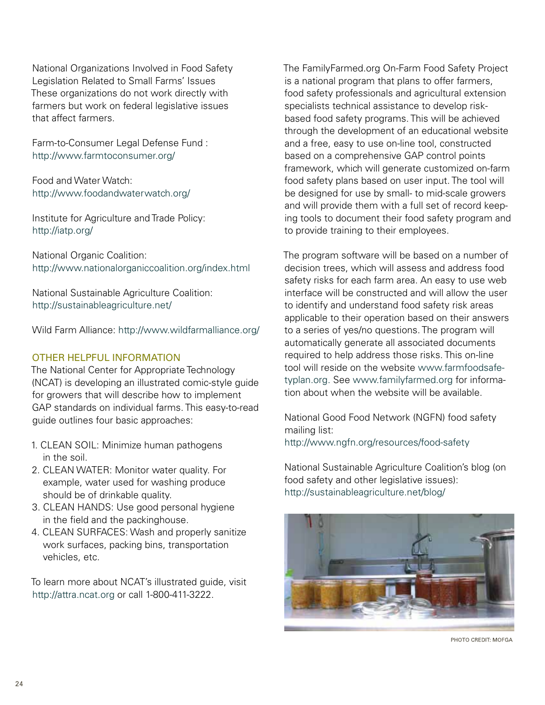National Organizations Involved in Food Safety Legislation Related to Small Farms' Issues These organizations do not work directly with farmers but work on federal legislative issues that affect farmers.

Farm-to-Consumer Legal Defense Fund : http://www.farmtoconsumer.org/

Food and Water Watch: http://www.foodandwaterwatch.org/

Institute for Agriculture and Trade Policy: http://iatp.org/

National Organic Coalition: http://www.nationalorganiccoalition.org/index.html

National Sustainable Agriculture Coalition: http://sustainableagriculture.net/

Wild Farm Alliance: http://www.wildfarmalliance.org/

#### OTHER HELPFUL INFORMATION

The National Center for Appropriate Technology (NCAT) is developing an illustrated comic-style guide for growers that will describe how to implement GAP standards on individual farms. This easy-to-read guide outlines four basic approaches:

- 1. CLEAN SOIL: Minimize human pathogens in the soil.
- 2. CLEAN WATER: Monitor water quality. For example, water used for washing produce should be of drinkable quality.
- 3. CLEAN HANDS: Use good personal hygiene in the field and the packinghouse.
- 4. CLEAN SURFACES: Wash and properly sanitize work surfaces, packing bins, transportation vehicles, etc.

To learn more about NCAT's illustrated guide, visit http://attra.ncat.org or call 1-800-411-3222.

The FamilyFarmed.org On-Farm Food Safety Project is a national program that plans to offer farmers, food safety professionals and agricultural extension specialists technical assistance to develop riskbased food safety programs. This will be achieved through the development of an educational website and a free, easy to use on-line tool, constructed based on a comprehensive GAP control points framework, which will generate customized on-farm food safety plans based on user input. The tool will be designed for use by small- to mid-scale growers and will provide them with a full set of record keeping tools to document their food safety program and to provide training to their employees.

The program software will be based on a number of decision trees, which will assess and address food safety risks for each farm area. An easy to use web interface will be constructed and will allow the user to identify and understand food safety risk areas applicable to their operation based on their answers to a series of yes/no questions. The program will automatically generate all associated documents required to help address those risks. This on-line tool will reside on the website www.farmfoodsafetyplan.org. See www.familyfarmed.org for information about when the website will be available.

National Good Food Network (NGFN) food safety mailing list: http://www.ngfn.org/resources/food-safety

National Sustainable Agriculture Coalition's blog (on food safety and other legislative issues): http://sustainableagriculture.net/blog/



PHOTO CREDIT: MOFGA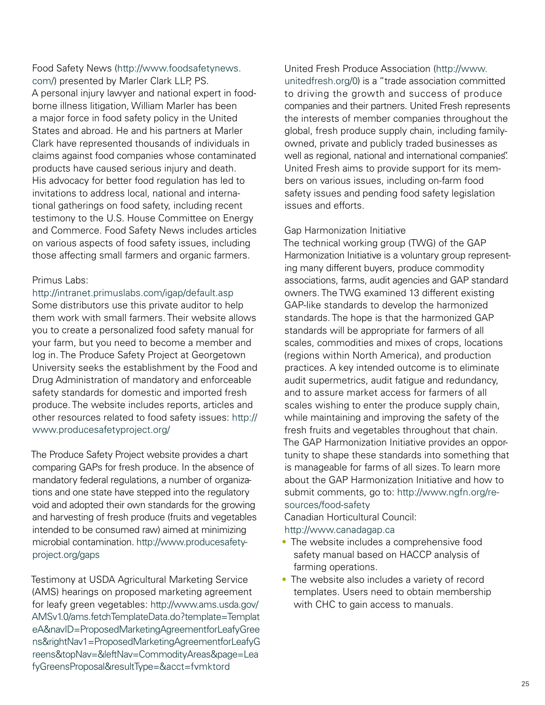Food Safety News (http://www.foodsafetynews. com/) presented by Marler Clark LLP, PS. A personal injury lawyer and national expert in foodborne illness litigation, William Marler has been a major force in food safety policy in the United States and abroad. He and his partners at Marler Clark have represented thousands of individuals in claims against food companies whose contaminated products have caused serious injury and death. His advocacy for better food regulation has led to invitations to address local, national and international gatherings on food safety, including recent testimony to the U.S. House Committee on Energy and Commerce. Food Safety News includes articles on various aspects of food safety issues, including those affecting small farmers and organic farmers.

#### Primus Labs:

http://intranet.primuslabs.com/igap/default.asp Some distributors use this private auditor to help them work with small farmers. Their website allows you to create a personalized food safety manual for your farm, but you need to become a member and log in. The Produce Safety Project at Georgetown University seeks the establishment by the Food and Drug Administration of mandatory and enforceable safety standards for domestic and imported fresh produce. The website includes reports, articles and other resources related to food safety issues: http:// www.producesafetyproject.org/

The Produce Safety Project website provides a chart comparing GAPs for fresh produce. In the absence of mandatory federal regulations, a number of organizations and one state have stepped into the regulatory void and adopted their own standards for the growing and harvesting of fresh produce (fruits and vegetables intended to be consumed raw) aimed at minimizing microbial contamination. http://www.producesafetyproject.org/gaps

Testimony at USDA Agricultural Marketing Service (AMS) hearings on proposed marketing agreement for leafy green vegetables: http://www.ams.usda.gov/ AMSv1.0/ams.fetchTemplateData.do?template=Templat eA&navID=ProposedMarketingAgreementforLeafyGree ns&rightNav1=ProposedMarketingAgreementforLeafyG reens&topNav=&leftNav=CommodityAreas&page=Lea fyGreensProposal&resultType=&acct=fvmktord

United Fresh Produce Association (http://www. unitedfresh.org/0) is a "trade association committed to driving the growth and success of produce companies and their partners. United Fresh represents the interests of member companies throughout the global, fresh produce supply chain, including familyowned, private and publicly traded businesses as well as regional, national and international companies". United Fresh aims to provide support for its members on various issues, including on-farm food safety issues and pending food safety legislation issues and efforts.

### Gap Harmonization Initiative

The technical working group (TWG) of the GAP Harmonization Initiative is a voluntary group representing many different buyers, produce commodity associations, farms, audit agencies and GAP standard owners. The TWG examined 13 different existing GAP-like standards to develop the harmonized standards. The hope is that the harmonized GAP standards will be appropriate for farmers of all scales, commodities and mixes of crops, locations (regions within North America), and production practices. A key intended outcome is to eliminate audit supermetrics, audit fatigue and redundancy, and to assure market access for farmers of all scales wishing to enter the produce supply chain, while maintaining and improving the safety of the fresh fruits and vegetables throughout that chain. The GAP Harmonization Initiative provides an opportunity to shape these standards into something that is manageable for farms of all sizes. To learn more about the GAP Harmonization Initiative and how to submit comments, go to: http://www.ngfn.org/resources/food-safety

Canadian Horticultural Council: http://www.canadagap.ca

- The website includes a comprehensive food safety manual based on HACCP analysis of farming operations.
- The website also includes a variety of record templates. Users need to obtain membership with CHC to gain access to manuals.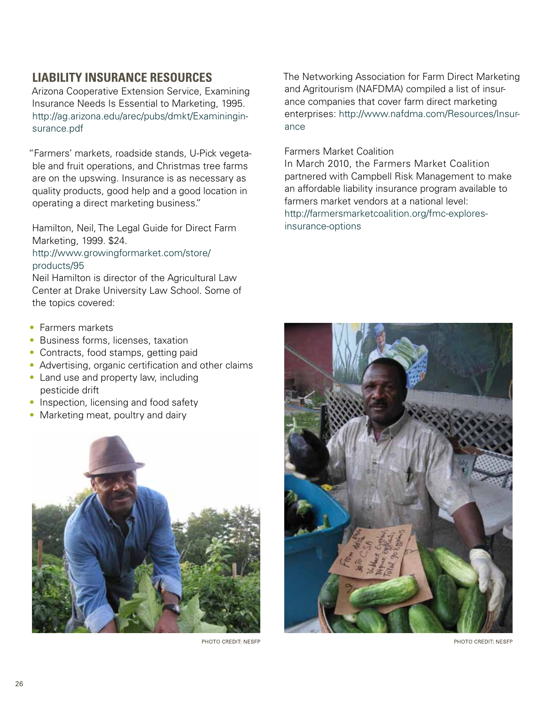# **LIABILITY INSURANCE RESOURCES**

Arizona Cooperative Extension Service, Examining Insurance Needs Is Essential to Marketing, 1995. http://ag.arizona.edu/arec/pubs/dmkt/Examininginsurance.pdf

"Farmers' markets, roadside stands, U-Pick vegetable and fruit operations, and Christmas tree farms are on the upswing. Insurance is as necessary as quality products, good help and a good location in operating a direct marketing business."

Hamilton, Neil, The Legal Guide for Direct Farm Marketing, 1999. \$24.

## http://www.growingformarket.com/store/ products/95

Neil Hamilton is director of the Agricultural Law Center at Drake University Law School. Some of the topics covered:

- Farmers markets
- **•** Business forms, licenses, taxation
- Contracts, food stamps, getting paid
- Advertising, organic certification and other claims
- Land use and property law, including pesticide drift
- Inspection, licensing and food safety
- Marketing meat, poultry and dairy



PHOTO CREDIT: NESFP

The Networking Association for Farm Direct Marketing and Agritourism (NAFDMA) compiled a list of insurance companies that cover farm direct marketing enterprises: http://www.nafdma.com/Resources/Insurance

#### Farmers Market Coalition

In March 2010, the Farmers Market Coalition partnered with Campbell Risk Management to make an affordable liability insurance program available to farmers market vendors at a national level: http://farmersmarketcoalition.org/fmc-exploresinsurance-options



PHOTO CREDIT: NESFP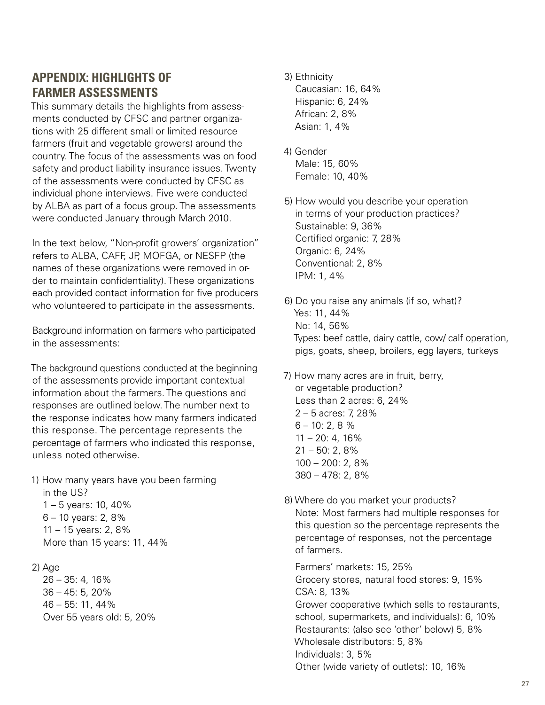# **APPENDIX: HIGHLIGHTS OF FARMER ASSESSMENTS**

This summary details the highlights from assessments conducted by CFSC and partner organizations with 25 different small or limited resource farmers (fruit and vegetable growers) around the country. The focus of the assessments was on food safety and product liability insurance issues. Twenty of the assessments were conducted by CFSC as individual phone interviews. Five were conducted by ALBA as part of a focus group. The assessments were conducted January through March 2010.

In the text below, "Non-profit growers' organization" refers to ALBA, CAFF, JP, MOFGA, or NESFP (the names of these organizations were removed in order to maintain confidentiality). These organizations each provided contact information for five producers who volunteered to participate in the assessments.

Background information on farmers who participated in the assessments:

The background questions conducted at the beginning of the assessments provide important contextual information about the farmers. The questions and responses are outlined below. The number next to the response indicates how many farmers indicated this response. The percentage represents the percentage of farmers who indicated this response, unless noted otherwise.

1) How many years have you been farming in the US? 1 – 5 years: 10, 40% 6 – 10 years: 2, 8% 11 – 15 years: 2, 8% More than 15 years: 11, 44%

2) Age

 26 – 35: 4, 16% 36 – 45: 5, 20% 46 – 55: 11, 44% Over 55 years old: 5, 20%

- 3) Ethnicity Caucasian: 16, 64% Hispanic: 6, 24% African: 2, 8% Asian: 1, 4%
- 4) Gender Male: 15, 60% Female: 10, 40%

5) How would you describe your operation in terms of your production practices? Sustainable: 9, 36% Certified organic: 7, 28% Organic: 6, 24% Conventional: 2, 8% IPM: 1, 4%

6) Do you raise any animals (if so, what)? Yes: 11, 44% No: 14, 56% Types: beef cattle, dairy cattle, cow/ calf operation, pigs, goats, sheep, broilers, egg layers, turkeys

7) How many acres are in fruit, berry, or vegetable production? Less than 2 acres: 6, 24% 2 – 5 acres: 7, 28% 6 – 10: 2, 8 % 11 – 20: 4, 16% 21 – 50: 2, 8% 100 – 200: 2, 8% 380 – 478: 2, 8%

8) Where do you market your products? Note: Most farmers had multiple responses for this question so the percentage represents the percentage of responses, not the percentage of farmers.

 Farmers' markets: 15, 25% Grocery stores, natural food stores: 9, 15% CSA: 8, 13% Grower cooperative (which sells to restaurants, school, supermarkets, and individuals): 6, 10% Restaurants: (also see 'other' below) 5, 8% Wholesale distributors: 5, 8% Individuals: 3, 5% Other (wide variety of outlets): 10, 16%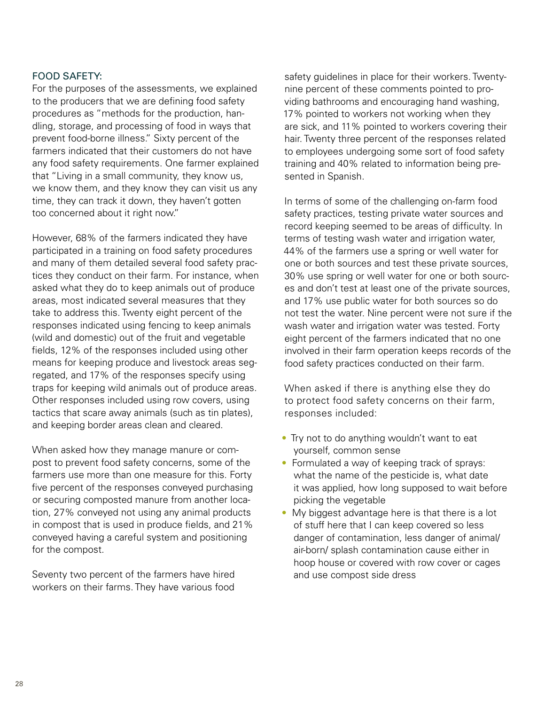#### FOOD SAFETY:

For the purposes of the assessments, we explained to the producers that we are defining food safety procedures as "methods for the production, handling, storage, and processing of food in ways that prevent food-borne illness." Sixty percent of the farmers indicated that their customers do not have any food safety requirements. One farmer explained that "Living in a small community, they know us, we know them, and they know they can visit us any time, they can track it down, they haven't gotten too concerned about it right now."

However, 68% of the farmers indicated they have participated in a training on food safety procedures and many of them detailed several food safety practices they conduct on their farm. For instance, when asked what they do to keep animals out of produce areas, most indicated several measures that they take to address this. Twenty eight percent of the responses indicated using fencing to keep animals (wild and domestic) out of the fruit and vegetable fields, 12% of the responses included using other means for keeping produce and livestock areas segregated, and 17% of the responses specify using traps for keeping wild animals out of produce areas. Other responses included using row covers, using tactics that scare away animals (such as tin plates), and keeping border areas clean and cleared.

When asked how they manage manure or compost to prevent food safety concerns, some of the farmers use more than one measure for this. Forty five percent of the responses conveyed purchasing or securing composted manure from another location, 27% conveyed not using any animal products in compost that is used in produce fields, and 21% conveyed having a careful system and positioning for the compost.

Seventy two percent of the farmers have hired workers on their farms. They have various food

safety guidelines in place for their workers. Twentynine percent of these comments pointed to providing bathrooms and encouraging hand washing, 17% pointed to workers not working when they are sick, and 11% pointed to workers covering their hair. Twenty three percent of the responses related to employees undergoing some sort of food safety training and 40% related to information being presented in Spanish.

In terms of some of the challenging on-farm food safety practices, testing private water sources and record keeping seemed to be areas of difficulty. In terms of testing wash water and irrigation water, 44% of the farmers use a spring or well water for one or both sources and test these private sources, 30% use spring or well water for one or both sources and don't test at least one of the private sources, and 17% use public water for both sources so do not test the water. Nine percent were not sure if the wash water and irrigation water was tested. Forty eight percent of the farmers indicated that no one involved in their farm operation keeps records of the food safety practices conducted on their farm.

When asked if there is anything else they do to protect food safety concerns on their farm, responses included:

- Try not to do anything wouldn't want to eat yourself, common sense
- Formulated a way of keeping track of sprays: what the name of the pesticide is, what date it was applied, how long supposed to wait before picking the vegetable
- My biggest advantage here is that there is a lot of stuff here that I can keep covered so less danger of contamination, less danger of animal/ air-born/ splash contamination cause either in hoop house or covered with row cover or cages and use compost side dress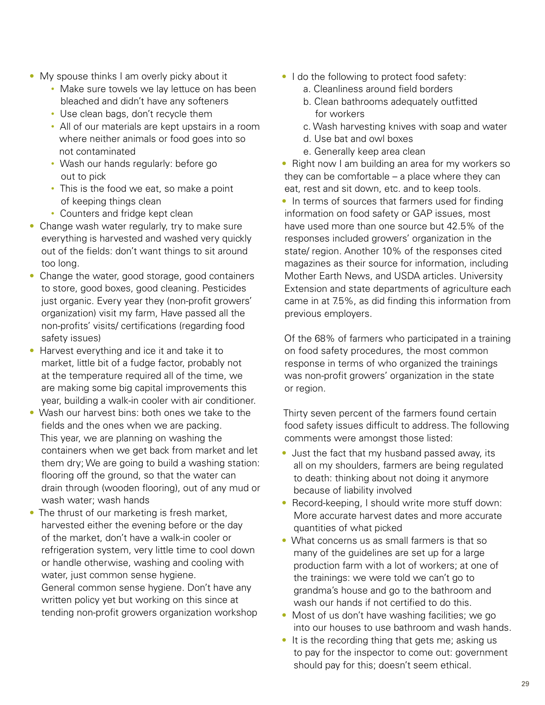- My spouse thinks I am overly picky about it
	- Make sure towels we lay lettuce on has been bleached and didn't have any softeners
	- Use clean bags, don't recycle them
	- All of our materials are kept upstairs in a room where neither animals or food goes into so not contaminated
	- Wash our hands regularly: before go out to pick
	- This is the food we eat, so make a point of keeping things clean
	- Counters and fridge kept clean
- Change wash water regularly, try to make sure everything is harvested and washed very quickly out of the fields: don't want things to sit around too long.
- Change the water, good storage, good containers to store, good boxes, good cleaning. Pesticides just organic. Every year they (non-profit growers' organization) visit my farm, Have passed all the non-profits' visits/ certifications (regarding food safety issues)
- Harvest everything and ice it and take it to market, little bit of a fudge factor, probably not at the temperature required all of the time, we are making some big capital improvements this year, building a walk-in cooler with air conditioner.
- Wash our harvest bins: both ones we take to the fields and the ones when we are packing. This year, we are planning on washing the containers when we get back from market and let them dry; We are going to build a washing station: flooring off the ground, so that the water can drain through (wooden flooring), out of any mud or wash water; wash hands
- The thrust of our marketing is fresh market, harvested either the evening before or the day of the market, don't have a walk-in cooler or refrigeration system, very little time to cool down or handle otherwise, washing and cooling with water, just common sense hygiene. General common sense hygiene. Don't have any written policy yet but working on this since at tending non-profit growers organization workshop
- I do the following to protect food safety:
	- a. Cleanliness around field borders
	- b. Clean bathrooms adequately outfitted for workers
	- c. Wash harvesting knives with soap and water
	- d. Use bat and owl boxes
	- e. Generally keep area clean

• Right now I am building an area for my workers so they can be comfortable – a place where they can eat, rest and sit down, etc. and to keep tools.

• In terms of sources that farmers used for finding information on food safety or GAP issues, most have used more than one source but 42.5% of the responses included growers' organization in the state/ region. Another 10% of the responses cited magazines as their source for information, including Mother Earth News, and USDA articles. University Extension and state departments of agriculture each came in at 7.5%, as did finding this information from previous employers.

Of the 68% of farmers who participated in a training on food safety procedures, the most common response in terms of who organized the trainings was non-profit growers' organization in the state or region.

Thirty seven percent of the farmers found certain food safety issues difficult to address. The following comments were amongst those listed:

- $\bullet$  Just the fact that my husband passed away, its all on my shoulders, farmers are being regulated to death: thinking about not doing it anymore because of liability involved
- Record-keeping, I should write more stuff down: More accurate harvest dates and more accurate quantities of what picked
- What concerns us as small farmers is that so many of the guidelines are set up for a large production farm with a lot of workers; at one of the trainings: we were told we can't go to grandma's house and go to the bathroom and wash our hands if not certified to do this.
- Most of us don't have washing facilities; we go into our houses to use bathroom and wash hands.
- It is the recording thing that gets me; asking us to pay for the inspector to come out: government should pay for this; doesn't seem ethical.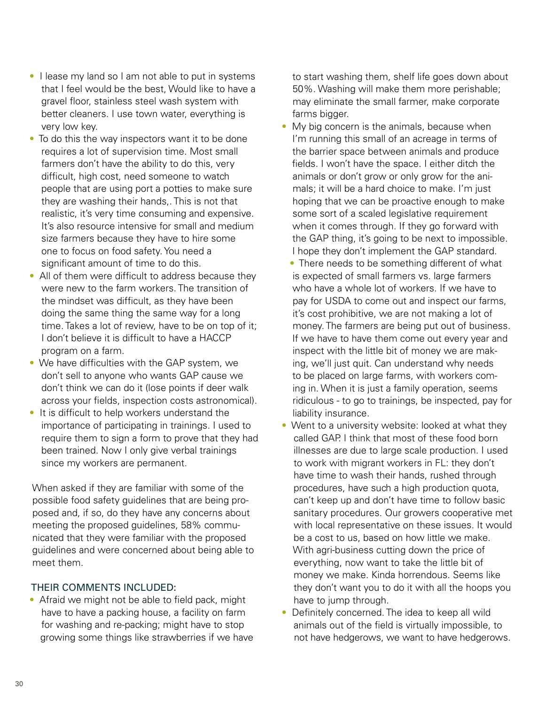- I lease my land so I am not able to put in systems that I feel would be the best, Would like to have a gravel floor, stainless steel wash system with better cleaners. I use town water, everything is very low key.
- To do this the way inspectors want it to be done requires a lot of supervision time. Most small farmers don't have the ability to do this, very difficult, high cost, need someone to watch people that are using port a potties to make sure they are washing their hands,. This is not that realistic, it's very time consuming and expensive. It's also resource intensive for small and medium size farmers because they have to hire some one to focus on food safety. You need a significant amount of time to do this.
- All of them were difficult to address because they were new to the farm workers. The transition of the mindset was difficult, as they have been doing the same thing the same way for a long time. Takes a lot of review, have to be on top of it; I don't believe it is difficult to have a HACCP program on a farm.
- We have difficulties with the GAP system, we don't sell to anyone who wants GAP cause we don't think we can do it (lose points if deer walk across your fields, inspection costs astronomical).
- It is difficult to help workers understand the importance of participating in trainings. I used to require them to sign a form to prove that they had been trained. Now I only give verbal trainings since my workers are permanent.

When asked if they are familiar with some of the possible food safety guidelines that are being proposed and, if so, do they have any concerns about meeting the proposed guidelines, 58% communicated that they were familiar with the proposed guidelines and were concerned about being able to meet them.

#### THEIR COMMENTS INCLUDED:

• Afraid we might not be able to field pack, might have to have a packing house, a facility on farm for washing and re-packing; might have to stop growing some things like strawberries if we have to start washing them, shelf life goes down about 50%. Washing will make them more perishable; may eliminate the small farmer, make corporate farms bigger.

- My big concern is the animals, because when I'm running this small of an acreage in terms of the barrier space between animals and produce fields. I won't have the space. I either ditch the animals or don't grow or only grow for the animals; it will be a hard choice to make. I'm just hoping that we can be proactive enough to make some sort of a scaled legislative requirement when it comes through. If they go forward with the GAP thing, it's going to be next to impossible. I hope they don't implement the GAP standard.
	- There needs to be something different of what is expected of small farmers vs. large farmers who have a whole lot of workers. If we have to pay for USDA to come out and inspect our farms, it's cost prohibitive, we are not making a lot of money. The farmers are being put out of business. If we have to have them come out every year and inspect with the little bit of money we are making, we'll just quit. Can understand why needs to be placed on large farms, with workers coming in. When it is just a family operation, seems ridiculous - to go to trainings, be inspected, pay for liability insurance.
- Went to a university website: looked at what they called GAP. I think that most of these food born illnesses are due to large scale production. I used to work with migrant workers in FL: they don't have time to wash their hands, rushed through procedures, have such a high production quota, can't keep up and don't have time to follow basic sanitary procedures. Our growers cooperative met with local representative on these issues. It would be a cost to us, based on how little we make. With agri-business cutting down the price of everything, now want to take the little bit of money we make. Kinda horrendous. Seems like they don't want you to do it with all the hoops you have to jump through.
- Definitely concerned. The idea to keep all wild animals out of the field is virtually impossible, to not have hedgerows, we want to have hedgerows.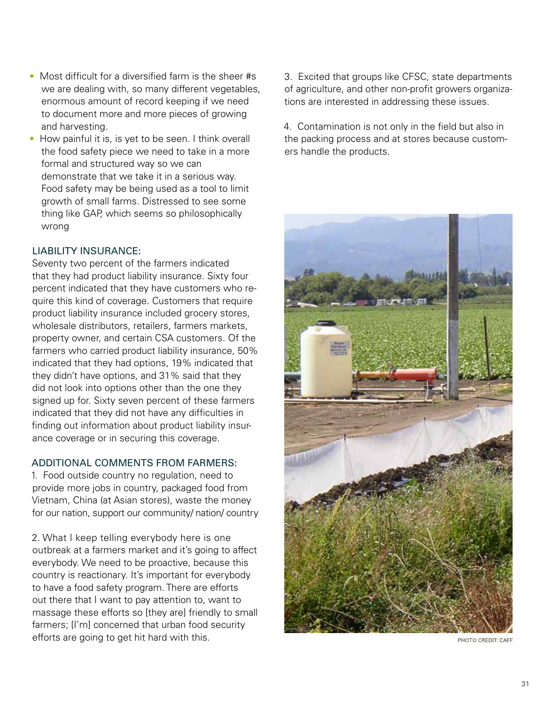- Most difficult for a diversified farm is the sheer #s we are dealing with, so many different vegetables, enormous amount of record keeping if we need to document more and more pieces of growing and harvesting.
- How painful it is, is yet to be seen. I think overall the food safety piece we need to take in a more formal and structured way so we can demonstrate that we take it in a serious way. Food safety may be being used as a tool to limit growth of small farms. Distressed to see some thing like GAP, which seems so philosophically wrong

#### LIABILITY INSURANCE:

Seventy two percent of the farmers indicated that they had product liability insurance. Sixty four percent indicated that they have customers who require this kind of coverage. Customers that require product liability insurance included grocery stores, wholesale distributors, retailers, farmers markets, property owner, and certain CSA customers. Of the farmers who carried product liability insurance, 50% indicated that they had options, 19% indicated that they didn't have options, and 31% said that they did not look into options other than the one they signed up for. Sixty seven percent of these farmers indicated that they did not have any difficulties in finding out information about product liability insurance coverage or in securing this coverage.

#### ADDITIONAL COMMENTS FROM FARMERS:

1. Food outside country no regulation, need to provide more jobs in country, packaged food from Vietnam, China (at Asian stores), waste the money for our nation, support our community/ nation/ country

2. What I keep telling everybody here is one outbreak at a farmers market and it's going to affect everybody. We need to be proactive, because this country is reactionary. It's important for everybody to have a food safety program. There are efforts out there that I want to pay attention to, want to massage these efforts so [they are] friendly to small farmers; [I'm] concerned that urban food security efforts are going to get hit hard with this.

3. Excited that groups like CFSC, state departments of agriculture, and other non-profit growers organizations are interested in addressing these issues.

4. Contamination is not only in the field but also in the packing process and at stores because customers handle the products.



PHOTO CREDIT: CAFF